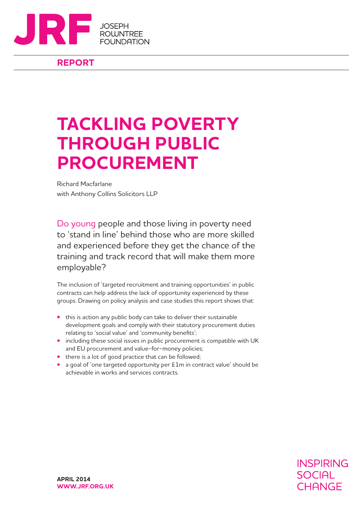

### **REPORT**

### **TACKLING POVERTY THROUGH PUBLIC PROCUREMENT**

Richard Macfarlane with Anthony Collins Solicitors LLP

Do young people and those living in poverty need to 'stand in line' behind those who are more skilled and experienced before they get the chance of the training and track record that will make them more employable?

The inclusion of 'targeted recruitment and training opportunities' in public contracts can help address the lack of opportunity experienced by these groups. Drawing on policy analysis and case studies this report shows that:

- **•** this is action any public body can take to deliver their sustainable development goals and comply with their statutory procurement duties relating to 'social value' and 'community benefits';
- **•** including these social issues in public procurement is compatible with UK and EU procurement and value-for-money policies;
- **•** there is a lot of good practice that can be followed;
- **•** a goal of 'one targeted opportunity per £1m in contract value' should be achievable in works and services contracts.

**INSPIRING SOCIAL** CHANGE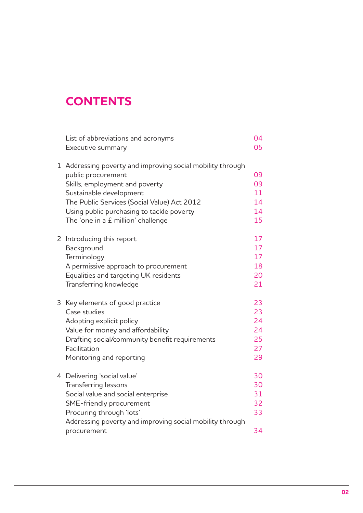### **Contents**

|  | List of abbreviations and acronyms                         | 04 |
|--|------------------------------------------------------------|----|
|  | Executive summary                                          | 05 |
|  |                                                            |    |
|  | 1 Addressing poverty and improving social mobility through |    |
|  | public procurement                                         | 09 |
|  | Skills, employment and poverty                             | 09 |
|  | Sustainable development                                    | 11 |
|  | The Public Services (Social Value) Act 2012                | 14 |
|  | Using public purchasing to tackle poverty                  | 14 |
|  | The 'one in a £ million' challenge                         | 15 |
|  | 2 Introducing this report                                  | 17 |
|  | Background                                                 | 17 |
|  | Terminology                                                | 17 |
|  | A permissive approach to procurement                       | 18 |
|  | Equalities and targeting UK residents                      | 20 |
|  | Transferring knowledge                                     | 21 |
|  |                                                            |    |
|  | 3 Key elements of good practice                            | 23 |
|  | Case studies                                               | 23 |
|  | Adopting explicit policy                                   | 24 |
|  | Value for money and affordability                          | 24 |
|  | Drafting social/community benefit requirements             | 25 |
|  | Facilitation                                               | 27 |
|  | Monitoring and reporting                                   | 29 |
|  |                                                            |    |
|  | 4 Delivering 'social value'                                | 30 |
|  | Transferring lessons                                       | 30 |
|  | Social value and social enterprise                         | 31 |
|  | SME-friendly procurement                                   | 32 |
|  | Procuring through 'lots'                                   | 33 |
|  | Addressing poverty and improving social mobility through   |    |
|  | procurement                                                | 34 |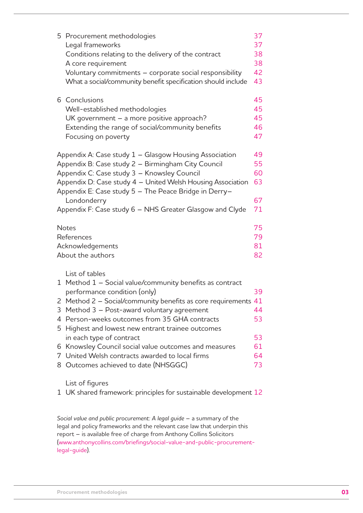|                                                                                                                            | 5 Procurement methodologies                                                              | 37 |  |
|----------------------------------------------------------------------------------------------------------------------------|------------------------------------------------------------------------------------------|----|--|
|                                                                                                                            | Legal frameworks                                                                         | 37 |  |
|                                                                                                                            | Conditions relating to the delivery of the contract                                      | 38 |  |
|                                                                                                                            | A core requirement                                                                       | 38 |  |
|                                                                                                                            | Voluntary commitments - corporate social responsibility                                  | 42 |  |
|                                                                                                                            | What a social/community benefit specification should include                             | 43 |  |
|                                                                                                                            | 6 Conclusions                                                                            | 45 |  |
|                                                                                                                            | Well-established methodologies                                                           | 45 |  |
|                                                                                                                            | UK government $-$ a more positive approach?                                              | 45 |  |
|                                                                                                                            | Extending the range of social/community benefits                                         | 46 |  |
|                                                                                                                            | Focusing on poverty                                                                      | 47 |  |
|                                                                                                                            | Appendix A: Case study 1 – Glasgow Housing Association                                   | 49 |  |
| Appendix B: Case study 2 - Birmingham City Council<br>55                                                                   |                                                                                          |    |  |
| Appendix C: Case study 3 - Knowsley Council<br>60                                                                          |                                                                                          |    |  |
| Appendix D: Case study 4 - United Welsh Housing Association<br>63<br>Appendix E: Case study 5 - The Peace Bridge in Derry- |                                                                                          |    |  |
|                                                                                                                            | Londonderry                                                                              | 67 |  |
|                                                                                                                            | Appendix F: Case study 6 - NHS Greater Glasgow and Clyde                                 | 71 |  |
|                                                                                                                            | <b>Notes</b>                                                                             | 75 |  |
|                                                                                                                            | 79<br>References                                                                         |    |  |
|                                                                                                                            | Acknowledgements                                                                         |    |  |
|                                                                                                                            | About the authors                                                                        | 82 |  |
|                                                                                                                            | List of tables                                                                           |    |  |
|                                                                                                                            | 1 Method 1 - Social value/community benefits as contract<br>performance condition (only) | 39 |  |
|                                                                                                                            | 2 Method 2 - Social/community benefits as core requirements 41                           |    |  |
|                                                                                                                            | 3 Method 3 - Post-award voluntary agreement                                              | 44 |  |
|                                                                                                                            | 4 Person-weeks outcomes from 35 GHA contracts                                            | 53 |  |
|                                                                                                                            | 5 Highest and lowest new entrant trainee outcomes                                        |    |  |
|                                                                                                                            | in each type of contract                                                                 | 53 |  |
| 6                                                                                                                          | Knowsley Council social value outcomes and measures                                      | 61 |  |
|                                                                                                                            | 7 United Welsh contracts awarded to local firms                                          | 64 |  |
| 8                                                                                                                          | Outcomes achieved to date (NHSGGC)                                                       | 73 |  |
|                                                                                                                            |                                                                                          |    |  |

List of figures

1 UK shared framework: principles for sustainable development 12

*Social value and public procurement: A legal guide* – a summary of the legal and policy frameworks and the relevant case law that underpin this report – is available free of charge from Anthony Collins Solicitors (www.anthonycollins.com/briefings/social-value-and-public-procurementlegal-guide).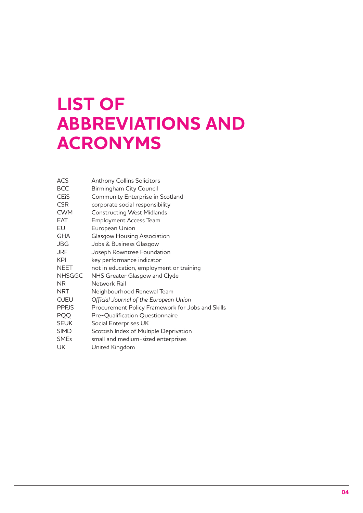# **List of ABBREVIATIONS AND acronyms**

| <b>ACS</b>             | <b>Anthony Collins Solicitors</b>                |
|------------------------|--------------------------------------------------|
| <b>BCC</b>             | Birmingham City Council                          |
| <b>CE<sub>i</sub>S</b> | Community Enterprise in Scotland                 |
| <b>CSR</b>             | corporate social responsibility                  |
| <b>CWM</b>             | <b>Constructing West Midlands</b>                |
| <b>EAT</b>             | <b>Employment Access Team</b>                    |
| EU                     | European Union                                   |
| <b>GHA</b>             | <b>Glasgow Housing Association</b>               |
| <b>JBG</b>             | Jobs & Business Glasgow                          |
| <b>JRF</b>             | Joseph Rowntree Foundation                       |
| <b>KPI</b>             | key performance indicator                        |
| <b>NEET</b>            | not in education, employment or training         |
| <b>NHSGGC</b>          | NHS Greater Glasgow and Clyde                    |
| NR.                    | Network Rail                                     |
| <b>NRT</b>             | Neighbourhood Renewal Team                       |
| <b>OJEU</b>            | Official Journal of the European Union           |
| <b>PPFJS</b>           | Procurement Policy Framework for Jobs and Skills |
| <b>PQQ</b>             | Pre-Qualification Questionnaire                  |
| <b>SEUK</b>            | Social Enterprises UK                            |
| <b>SIMD</b>            | Scottish Index of Multiple Deprivation           |
| <b>SMEs</b>            | small and medium-sized enterprises               |
| UK                     | United Kingdom                                   |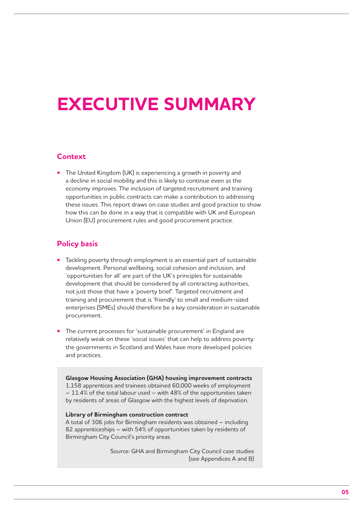## **Executive summary**

#### **Context**

The United Kingdom (UK) is experiencing a growth in poverty and a decline in social mobility and this is likely to continue even as the economy improves. The inclusion of targeted recruitment and training opportunities in public contracts can make a contribution to addressing these issues. This report draws on case studies and good practice to show how this can be done in a way that is compatible with UK and European Union (EU) procurement rules and good procurement practice.

#### **Policy basis**

- Tackling poverty through employment is an essential part of sustainable development. Personal wellbeing, social cohesion and inclusion, and 'opportunities for all' are part of the UK's principles for sustainable development that should be considered by all contracting authorities, not just those that have a 'poverty brief'. Targeted recruitment and training and procurement that is 'friendly' to small and medium-sized enterprises (SMEs) should therefore be a key consideration in sustainable procurement.
- The current processes for 'sustainable procurement' in England are relatively weak on these 'social issues' that can help to address poverty: the governments in Scotland and Wales have more developed policies and practices.

**Glasgow Housing Association (GHA) housing improvement contracts** 1,158 apprentices and trainees obtained 60,000 weeks of employment – 11.4% of the total labour used – with 48% of the opportunities taken by residents of areas of Glasgow with the highest levels of deprivation.

#### **Library of Birmingham construction contract**

A total of 306 jobs for Birmingham residents was obtained – including 82 apprenticeships – with 54% of opportunities taken by residents of Birmingham City Council's priority areas.

> Source: GHA and Birmingham City Council case studies (see Appendices A and B)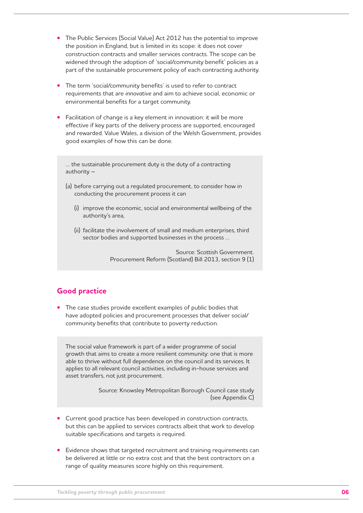- **•** The Public Services (Social Value) Act 2012 has the potential to improve the position in England, but is limited in its scope: it does not cover construction contracts and smaller services contracts. The scope can be widened through the adoption of 'social/community benefit' policies as a part of the sustainable procurement policy of each contracting authority.
- The term 'social/community benefits' is used to refer to contract requirements that are *innovative* and aim to achieve social, economic or environmental benefits for a target community.
- Facilitation of change is a key element in innovation: it will be more effective if key parts of the delivery process are supported, encouraged and rewarded. Value Wales, a division of the Welsh Government, provides good examples of how this can be done.

… the sustainable procurement duty is the duty of a contracting authority –

- (a) before carrying out a regulated procurement, to consider how in conducting the procurement process it can
	- (i) improve the economic, social and environmental wellbeing of the authority's area,
	- (ii) facilitate the involvement of small and medium enterprises, third sector bodies and supported businesses in the process …

Source: Scottish Government. Procurement Reform (Scotland) Bill 2013, section 9 (1)

#### **Good practice**

The case studies provide excellent examples of public bodies that have adopted policies and procurement processes that deliver social/ community benefits that contribute to poverty reduction.

The social value framework is part of a wider programme of social growth that aims to create a more resilient community: one that is more able to thrive without full dependence on the council and its services. It applies to all relevant council activities, including in-house services and asset transfers, not just procurement.

> Source: Knowsley Metropolitan Borough Council case study (see Appendix C)

- Current good practice has been developed in construction contracts, but this can be applied to services contracts albeit that work to develop suitable specifications and targets is required.
- Evidence shows that targeted recruitment and training requirements can be delivered at little or no extra cost and that the best contractors on a range of quality measures score highly on this requirement.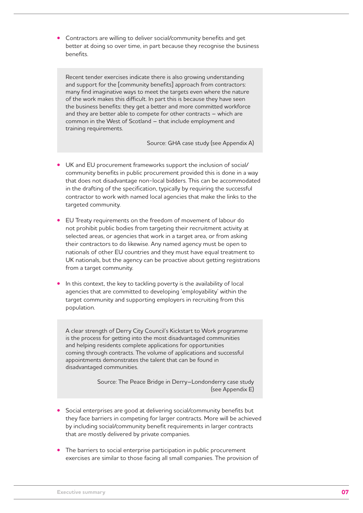**•** Contractors are willing to deliver social/community benefits and get better at doing so over time, in part because they recognise the business benefits.

Recent tender exercises indicate there is also growing understanding and support for the [community benefits] approach from contractors: many find imaginative ways to meet the targets even where the nature of the work makes this difficult. In part this is because they have seen the business benefits: they get a better and more committed workforce and they are better able to compete for other contracts – which are common in the West of Scotland – that include employment and training requirements.

Source: GHA case study (see Appendix A)

- UK and EU procurement frameworks support the inclusion of social/ community benefits in public procurement provided this is done in a way that does not disadvantage non-local bidders. This can be accommodated in the drafting of the specification, typically by requiring the successful contractor to work with named local agencies that make the links to the targeted community.
- **EU Treaty requirements on the freedom of movement of labour do** not prohibit public bodies from targeting their recruitment activity at selected areas, or agencies that work in a target area, or from asking their contractors to do likewise. Any named agency must be open to nationals of other EU countries and they must have equal treatment to UK nationals, but the agency can be proactive about getting registrations from a target community.
- In this context, the key to tackling poverty is the availability of local agencies that are committed to developing 'employability' within the target community and supporting employers in recruiting from this population.

A clear strength of Derry City Council's Kickstart to Work programme is the process for getting into the most disadvantaged communities and helping residents complete applications for opportunities coming through contracts. The volume of applications and successful appointments demonstrates the talent that can be found in disadvantaged communities.

> Source: The Peace Bridge in Derry–Londonderry case study (see Appendix E)

- Social enterprises are good at delivering social/community benefits but they face barriers in competing for larger contracts. More will be achieved by including social/community benefit requirements in larger contracts that are mostly delivered by private companies.
- The barriers to social enterprise participation in public procurement exercises are similar to those facing all small companies. The provision of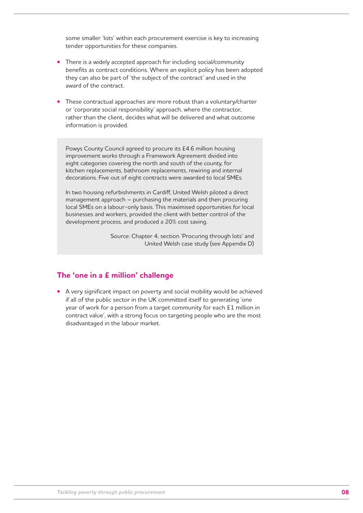some smaller 'lots' within each procurement exercise is key to increasing tender opportunities for these companies.

- There is a widely accepted approach for including social/community benefits as contract conditions. Where an explicit policy has been adopted they can also be part of 'the subject of the contract' and used in the award of the contract.
- These contractual approaches are more robust than a voluntary/charter or 'corporate social responsibility' approach, where the contractor, rather than the client, decides what will be delivered and what outcome information is provided.

Powys County Council agreed to procure its £4.6 million housing improvement works through a Framework Agreement divided into eight categories covering the north and south of the county, for kitchen replacements, bathroom replacements, rewiring and internal decorations. Five out of eight contracts were awarded to local SMEs.

In two housing refurbishments in Cardiff, United Welsh piloted a direct management approach – purchasing the materials and then procuring local SMEs on a labour-only basis. This maximised opportunities for local businesses and workers, provided the client with better control of the development process, and produced a 20% cost saving.

> Source: Chapter 4, section 'Procuring through lots' and United Welsh case study (see Appendix D)

#### **The 'one in a £ million' challenge**

**•**  A very significant impact on poverty and social mobility would be achieved if all of the public sector in the UK committed itself to generating 'one year of work for a person from a target community for each £1 million in contract value', with a strong focus on targeting people who are the most disadvantaged in the labour market.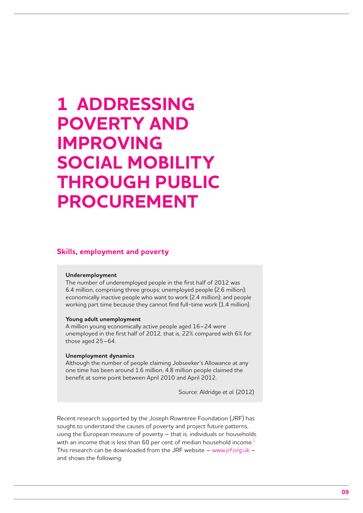### **1 Addressing poverty and improving social mobility through public procurement**

#### **Skills, employment and poverty**

#### **Underemployment**

The number of underemployed people in the first half of 2012 was 6.4 million, comprising three groups: unemployed people (2.6 million); economically inactive people who want to work (2.4 million); and people working part time because they cannot find full-time work (1.4 million).

#### **Young adult unemployment**

A million young economically active people aged 16–24 were unemployed in the first half of 2012, that is, 22% compared with 6% for those aged 25–64.

#### **Unemployment dynamics**

Although the number of people claiming Jobseeker's Allowance at any one time has been around 1.6 million, 4.8 million people claimed the benefit at some point between April 2010 and April 2012.

Source: Aldridge *et al*. (2012)

Recent research supported by the Joseph Rowntree Foundation (JRF) has sought to understand the causes of poverty and project future patterns, using the European measure of poverty – that is, individuals or households with an income that is less than 60 per cent of median household income.<sup>1</sup> This research can be downloaded from the JRF website – www.jrf.org.uk – and shows the following: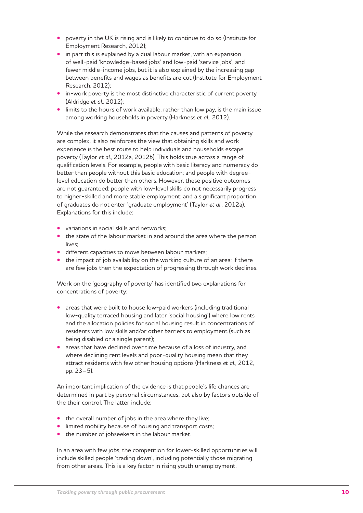- poverty in the UK is rising and is likely to continue to do so (Institute for Employment Research, 2012);
- **•** in part this is explained by a dual labour market, with an expansion of well-paid 'knowledge-based jobs' and low-paid 'service jobs', and fewer middle-income jobs, but it is also explained by the increasing gap between benefits and wages as benefits are cut (Institute for Employment Research, 2012);
- in-work poverty is the most distinctive characteristic of current poverty (Aldridge *et al*., 2012);
- limits to the hours of work available, rather than low pay, is the main issue among working households in poverty (Harkness *et al*., 2012).

While the research demonstrates that the causes and patterns of poverty are complex, it also reinforces the view that obtaining skills and work experience is the best route to help individuals and households escape poverty (Taylor *et al*., 2012a, 2012b). This holds true across a range of qualification levels. For example, people with basic literacy and numeracy do better than people without this basic education; and people with degreelevel education do better than others. However, these positive outcomes are not guaranteed: people with low-level skills do not necessarily progress to higher-skilled and more stable employment; and a significant proportion of graduates do not enter 'graduate employment' (Taylor *et al*., 2012a). Explanations for this include:

- variations in social skills and networks:
- the state of the labour market in and around the area where the person lives;
- **•** different capacities to move between labour markets;
- the impact of job availability on the working culture of an area: if there are few jobs then the expectation of progressing through work declines.

Work on the 'geography of poverty' has identified two explanations for concentrations of poverty:

- areas that were built to house low-paid workers (including traditional low-quality terraced housing and later 'social housing') where low rents and the allocation policies for social housing result in concentrations of residents with low skills and/or other barriers to employment (such as being disabled or a single parent);
- areas that have declined over time because of a loss of industry, and where declining rent levels and poor-quality housing mean that they attract residents with few other housing options (Harkness *et al*., 2012, pp. 23–5).

An important implication of the evidence is that people's life chances are determined in part by personal circumstances, but also by factors outside of the their control. The latter include:

- the overall number of jobs in the area where they live;
- **•** limited mobility because of housing and transport costs;
- the number of jobseekers in the labour market.

In an area with few jobs, the competition for lower-skilled opportunities will include skilled people 'trading down', including potentially those migrating from other areas. This is a key factor in rising youth unemployment.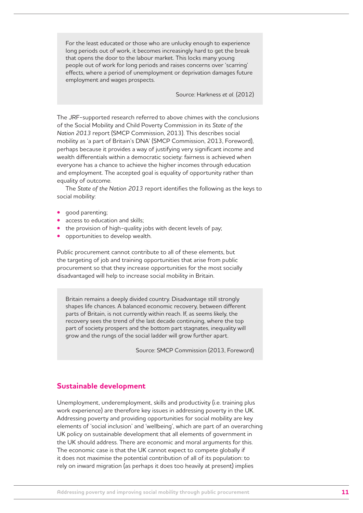For the least educated or those who are unlucky enough to experience long periods out of work, it becomes increasingly hard to get the break that opens the door to the labour market. This locks many young people out of work for long periods and raises concerns over 'scarring' effects, where a period of unemployment or deprivation damages future employment and wages prospects.

Source: Harkness *et al.* (2012)

The JRF-supported research referred to above chimes with the conclusions of the Social Mobility and Child Poverty Commission in its *State of the Nation 2013* report (SMCP Commission, 2013). This describes social mobility as 'a part of Britain's DNA' (SMCP Commission, 2013, Foreword), perhaps because it provides a way of justifying very significant income and wealth differentials within a democratic society: fairness is achieved when everyone has a chance to achieve the higher incomes through education and employment. The accepted goal is equality of opportunity rather than equality of outcome.

The *State of the Nation 2013* report identifies the following as the keys to social mobility:

- **•**  good parenting;
- access to education and skills;
- the provision of high-quality jobs with decent levels of pay;
- **•**  opportunities to develop wealth.

Public procurement cannot contribute to all of these elements, but the targeting of job and training opportunities that arise from public procurement so that they increase opportunities for the most socially disadvantaged will help to increase social mobility in Britain.

Britain remains a deeply divided country. Disadvantage still strongly shapes life chances. A balanced economic recovery, between different parts of Britain, is not currently within reach. If, as seems likely, the recovery sees the trend of the last decade continuing, where the top part of society prospers and the bottom part stagnates, inequality will grow and the rungs of the social ladder will grow further apart.

Source: SMCP Commission (2013, Foreword)

#### **Sustainable development**

Unemployment, underemployment, skills and productivity (i.e. training plus work experience) are therefore key issues in addressing poverty in the UK. Addressing poverty and providing opportunities for social mobility are key elements of 'social inclusion' and 'wellbeing', which are part of an overarching UK policy on sustainable development that all elements of government in the UK should address. There are economic and moral arguments for this. The economic case is that the UK cannot expect to compete globally if it does not maximise the potential contribution of all of its population: to rely on inward migration (as perhaps it does too heavily at present) implies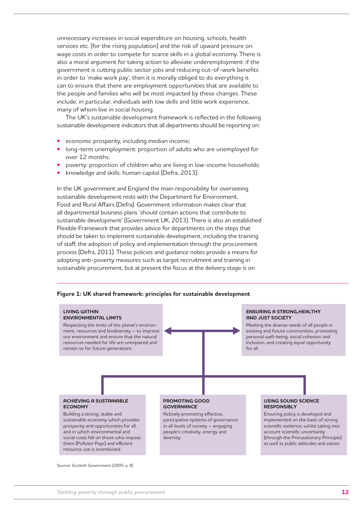unnecessary increases in social expenditure on housing, schools, health services etc. (for the rising population) and the risk of upward pressure on wage costs in order to compete for scarce skills in a global economy. There is also a moral argument for taking action to alleviate underemployment: if the government is cutting public sector jobs and reducing out-of-work benefits in order to 'make work pay', then it is morally obliged to do everything it can to ensure that there are employment opportunities that are available to the people and families who will be most impacted by these changes. These include, in particular, individuals with low skills and little work experience, many of whom live in social housing.

The UK's sustainable development framework is reflected in the following sustainable development indicators that all departments should be reporting on:

- economic prosperity, including median income;
- long-term unemployment: proportion of adults who are unemployed for over 12 months;
- poverty: proportion of children who are living in low-income households;
- knowledge and skills: human capital (Defra, 2013).

In the UK government and England the main responsibility for overseeing sustainable development rests with the Department for Environment, Food and Rural Affairs (Defra). Government information makes clear that all departmental business plans 'should contain actions that contribute to sustainable development' (Government UK, 2013). There is also an established Flexible Framework that provides advice for departments on the steps that should be taken to implement sustainable development, including the training of staff, the adoption of policy and implementation through the procurement process (Defra, 2011). These policies and guidance notes provide a means for adopting anti-poverty measures such as target recruitment and training in sustainable procurement, but at present the focus at the delivery stage is on



#### **Figure 1: UK shared framework: principles for sustainable development**

Source: Scottish Government (2005, p. 8)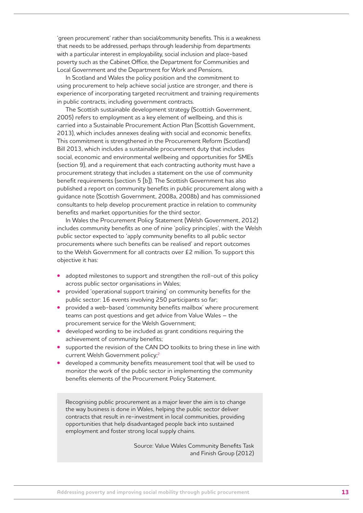'green procurement' rather than social/community benefits. This is a weakness that needs to be addressed, perhaps through leadership from departments with a particular interest in employability, social inclusion and place-based poverty such as the Cabinet Office, the Department for Communities and Local Government and the Department for Work and Pensions.

In Scotland and Wales the policy position and the commitment to using procurement to help achieve social justice are stronger, and there is experience of incorporating targeted recruitment and training requirements in public contracts, including government contracts.

The Scottish sustainable development strategy (Scottish Government, 2005) refers to employment as a key element of wellbeing, and this is carried into a Sustainable Procurement Action Plan (Scottish Government, 2013), which includes annexes dealing with social and economic benefits. This commitment is strengthened in the Procurement Reform (Scotland) Bill 2013, which includes a sustainable procurement duty that includes social, economic and environmental wellbeing and opportunities for SMEs (section 9), and a requirement that each contracting authority must have a procurement strategy that includes a statement on the use of community benefit requirements (section 5 [b]). The Scottish Government has also published a report on community benefits in public procurement along with a guidance note (Scottish Government, 2008a, 2008b) and has commissioned consultants to help develop procurement practice in relation to community benefits and market opportunities for the third sector.

In Wales the Procurement Policy Statement (Welsh Government, 2012) includes community benefits as one of nine 'policy principles', with the Welsh public sector expected to 'apply community benefits to all public sector procurements where such benefits can be realised' and report outcomes to the Welsh Government for all contracts over £2 million. To support this objective it has:

- adopted milestones to support and strengthen the roll-out of this policy across public sector organisations in Wales;
- **provided 'operational support training' on community benefits for the** public sector: 16 events involving 250 participants so far;
- provided a web-based 'community benefits mailbox' where procurement teams can post questions and get advice from Value Wales – the procurement service for the Welsh Government;
- developed wording to be included as grant conditions requiring the achievement of community benefits;
- supported the revision of the CAN DO toolkits to bring these in line with current Welsh Government policy;2
- developed a community benefits measurement tool that will be used to monitor the work of the public sector in implementing the community benefits elements of the Procurement Policy Statement.

Recognising public procurement as a major lever the aim is to change the way business is done in Wales, helping the public sector deliver contracts that result in re-investment in local communities, providing opportunities that help disadvantaged people back into sustained employment and foster strong local supply chains.

> Source: Value Wales Community Benefits Task and Finish Group (2012)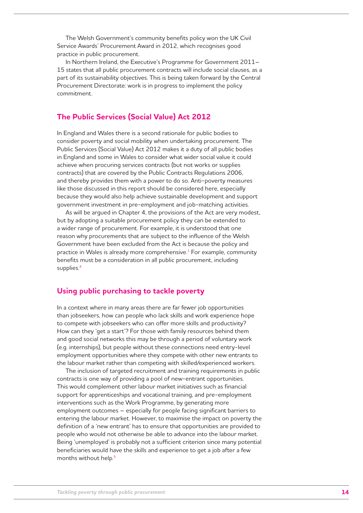The Welsh Government's community benefits policy won the UK Civil Service Awards' Procurement Award in 2012, which recognises good practice in public procurement.

In Northern Ireland, the Executive's Programme for Government 2011– 15 states that all public procurement contracts will include social clauses, as a part of its sustainability objectives. This is being taken forward by the Central Procurement Directorate: work is in progress to implement the policy commitment.

#### **The Public Services (Social Value) Act 2012**

In England and Wales there is a second rationale for public bodies to consider poverty and social mobility when undertaking procurement. The Public Services (Social Value) Act 2012 makes it a duty of all public bodies in England and some in Wales to consider what wider social value it could achieve when procuring services contracts (but not works or supplies contracts) that are covered by the Public Contracts Regulations 2006, and thereby provides them with a power to do so. Anti-poverty measures like those discussed in this report should be considered here, especially because they would also help achieve sustainable development and support government investment in pre-employment and job-matching activities.

As will be argued in Chapter 4, the provisions of the Act are very modest, but by adopting a suitable procurement policy they can be extended to a wider range of procurement. For example, it is understood that one reason why procurements that are subject to the influence of the Welsh Government have been excluded from the Act is because the policy and practice in Wales is already more comprehensive.3 For example, community benefits must be a consideration in all public procurement, including supplies.4

#### **Using public purchasing to tackle poverty**

In a context where in many areas there are far fewer job opportunities than jobseekers, how can people who lack skills and work experience hope to compete with jobseekers who can offer more skills and productivity? How can they 'get a start'? For those with family resources behind them and good social networks this may be through a period of voluntary work (e.g. internships), but people without these connections need entry-level employment opportunities where they compete with other new entrants to the labour market rather than competing with skilled/experienced workers.

The inclusion of targeted recruitment and training requirements in public contracts is one way of providing a pool of new-entrant opportunities. This would complement other labour market initiatives such as financial support for apprenticeships and vocational training, and pre-employment interventions such as the Work Programme, by generating more employment outcomes – especially for people facing significant barriers to entering the labour market. However, to maximise the impact on poverty the definition of a 'new entrant' has to ensure that opportunities are provided to people who would not otherwise be able to advance into the labour market. Being 'unemployed' is probably not a sufficient criterion since many potential beneficiaries would have the skills and experience to get a job after a few months without help.<sup>5</sup>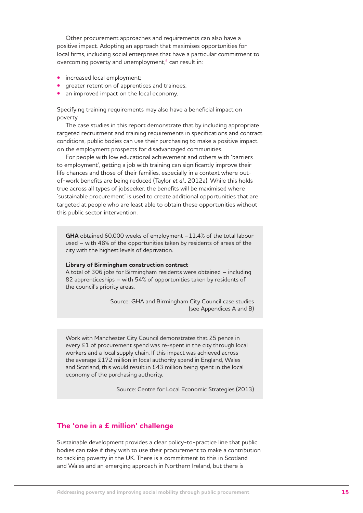Other procurement approaches and requirements can also have a positive impact. Adopting an approach that maximises opportunities for local firms, including social enterprises that have a particular commitment to overcoming poverty and unemployment,<sup>6</sup> can result in:

- increased local employment;
- greater retention of apprentices and trainees;
- an improved impact on the local economy.

Specifying training requirements may also have a beneficial impact on poverty.

The case studies in this report demonstrate that by including appropriate targeted recruitment and training requirements in specifications and contract conditions, public bodies can use their purchasing to make a positive impact on the employment prospects for disadvantaged communities.

For people with low educational achievement and others with 'barriers to employment', getting a job with training can significantly improve their life chances and those of their families, especially in a context where outof-work benefits are being reduced (Taylor *et al*., 2012a). While this holds true across all types of jobseeker, the benefits will be maximised where 'sustainable procurement' is used to create additional opportunities that are targeted at people who are least able to obtain these opportunities without this public sector intervention.

**GHA** obtained 60,000 weeks of employment –11.4% of the total labour used – with 48% of the opportunities taken by residents of areas of the city with the highest levels of deprivation.

#### **Library of Birmingham construction contract**

A total of 306 jobs for Birmingham residents were obtained – including 82 apprenticeships – with 54% of opportunities taken by residents of the council's priority areas.

> Source: GHA and Birmingham City Council case studies (see Appendices A and B)

Work with Manchester City Council demonstrates that 25 pence in every £1 of procurement spend was re-spent in the city through local workers and a local supply chain. If this impact was achieved across the average £172 million in local authority spend in England, Wales and Scotland, this would result in £43 million being spent in the local economy of the purchasing authority.

Source: Centre for Local Economic Strategies (2013)

#### **The 'one in a £ million' challenge**

Sustainable development provides a clear policy-to-practice line that public bodies can take if they wish to use their procurement to make a contribution to tackling poverty in the UK. There is a commitment to this in Scotland and Wales and an emerging approach in Northern Ireland, but there is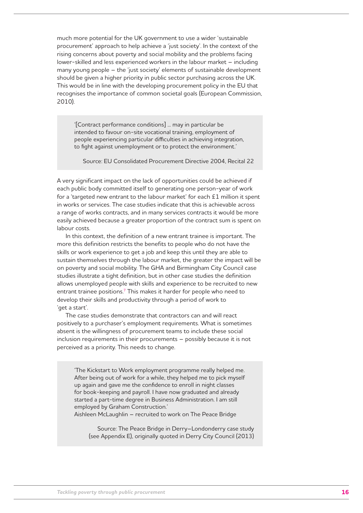much more potential for the UK government to use a wider 'sustainable procurement' approach to help achieve a 'just society'. In the context of the rising concerns about poverty and social mobility and the problems facing lower-skilled and less experienced workers in the labour market – including many young people – the 'just society' elements of sustainable development should be given a higher priority in public sector purchasing across the UK. This would be in line with the developing procurement policy in the EU that recognises the importance of common societal goals (European Commission, 2010).

'[Contract performance conditions] ... may in particular be intended to favour on-site vocational training, employment of people experiencing particular difficulties in achieving integration, to fight against unemployment or to protect the environment.'

Source: EU Consolidated Procurement Directive 2004, Recital 22

A very significant impact on the lack of opportunities could be achieved if each public body committed itself to generating one person-year of work for a 'targeted new entrant to the labour market' for each £1 million it spent in works or services. The case studies indicate that this is achievable across a range of works contracts, and in many services contracts it would be more easily achieved because a greater proportion of the contract sum is spent on labour costs.

In this context, the definition of a new entrant trainee is important. The more this definition restricts the benefits to people who do not have the skills or work experience to get a job and keep this until they are able to sustain themselves through the labour market, the greater the impact will be on poverty and social mobility. The GHA and Birmingham City Council case studies illustrate a tight definition, but in other case studies the definition allows unemployed people with skills and experience to be recruited to new entrant trainee positions.<sup>7</sup> This makes it harder for people who need to develop their skills and productivity through a period of work to 'get a start'.

The case studies demonstrate that contractors can and will react positively to a purchaser's employment requirements. What is sometimes absent is the willingness of procurement teams to include these social inclusion requirements in their procurements – possibly because it is not perceived as a priority. This needs to change.

'The Kickstart to Work employment programme really helped me. After being out of work for a while, they helped me to pick myself up again and gave me the confidence to enroll in night classes for book-keeping and payroll. I have now graduated and already started a part-time degree in Business Administration. I am still employed by Graham Construction.'

Aishleen McLaughlin – recruited to work on The Peace Bridge

Source: The Peace Bridge in Derry–Londonderry case study (see Appendix E), originally quoted in Derry City Council (2013)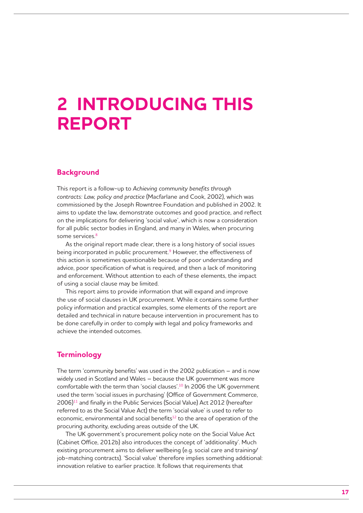### **2 Introducing this report**

#### **Background**

This report is a follow-up to *Achieving community benefits through contracts: Law, policy and practice* (Macfarlane and Cook, 2002), which was commissioned by the Joseph Rowntree Foundation and published in 2002. It aims to update the law, demonstrate outcomes and good practice, and reflect on the implications for delivering 'social value', which is now a consideration for all public sector bodies in England, and many in Wales, when procuring some services.<sup>8</sup>

As the original report made clear, there is a long history of social issues being incorporated in public procurement.<sup>9</sup> However, the effectiveness of this action is sometimes questionable because of poor understanding and advice, poor specification of what is required, and then a lack of monitoring and enforcement. Without attention to each of these elements, the impact of using a social clause may be limited.

This report aims to provide information that will expand and improve the use of social clauses in UK procurement. While it contains some further policy information and practical examples, some elements of the report are detailed and technical in nature because intervention in procurement has to be done carefully in order to comply with legal and policy frameworks and achieve the intended outcomes.

#### **Terminology**

The term 'community benefits' was used in the 2002 publication – and is now widely used in Scotland and Wales – because the UK government was more comfortable with the term than 'social clauses'.10 In 2006 the UK government used the term 'social issues in purchasing' (Office of Government Commerce, 2006)11 and finally in the Public Services (Social Value) Act 2012 (hereafter referred to as the Social Value Act) the term 'social value' is used to refer to economic, environmental and social benefits<sup>12</sup> to the area of operation of the procuring authority, excluding areas outside of the UK.

The UK government's procurement policy note on the Social Value Act (Cabinet Office, 2012b) also introduces the concept of 'additionality'. Much existing procurement aims to deliver wellbeing (e.g. social care and training/ job-matching contracts). 'Social value' therefore implies something additional: innovation relative to earlier practice. It follows that requirements that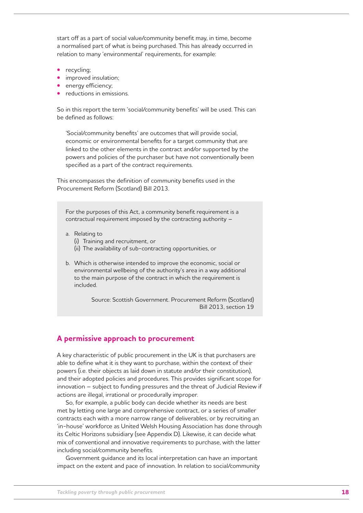start off as a part of social value/community benefit may, in time, become a normalised part of what is being purchased. This has already occurred in relation to many 'environmental' requirements, for example:

- recycling;
- **•** improved insulation;
- **•** energy efficiency;
- reductions in emissions.

So in this report the term 'social/community benefits' will be used. This can be defined as follows:

'Social/community benefits' are outcomes that will provide social, economic or environmental benefits for a target community that are linked to the other elements in the contract and/or supported by the powers and policies of the purchaser but have not conventionally been specified as a part of the contract requirements.

This encompasses the definition of community benefits used in the Procurement Reform (Scotland) Bill 2013.

For the purposes of this Act, a community benefit requirement is a contractual requirement imposed by the contracting authority –

- a. Relating to
	- (i) Training and recruitment, or
	- (ii) The availability of sub-contracting opportunities, or
- b. Which is otherwise intended to improve the economic, social or environmental wellbeing of the authority's area in a way additional to the main purpose of the contract in which the requirement is included.

Source: Scottish Government. Procurement Reform (Scotland) Bill 2013, section 19

#### **A permissive approach to procurement**

A key characteristic of public procurement in the UK is that purchasers are able to define what it is they want to purchase, within the context of their powers (i.e. their objects as laid down in statute and/or their constitution), and their adopted policies and procedures. This provides significant scope for innovation – subject to funding pressures and the threat of Judicial Review if actions are illegal, irrational or procedurally improper.

So, for example, a public body can decide whether its needs are best met by letting one large and comprehensive contract, or a series of smaller contracts each with a more narrow range of deliverables, or by recruiting an 'in-house' workforce as United Welsh Housing Association has done through its Celtic Horizons subsidiary (see Appendix D). Likewise, it can decide what mix of conventional and innovative requirements to purchase, with the latter including social/community benefits.

Government guidance and its local interpretation can have an important impact on the extent and pace of innovation. In relation to social/community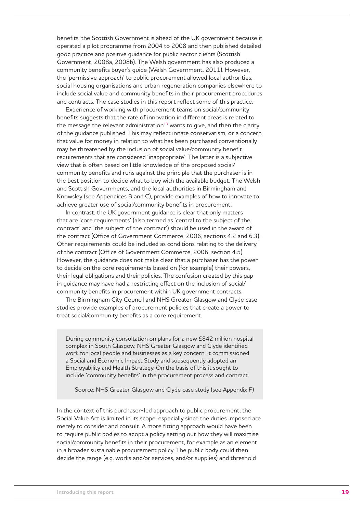benefits, the Scottish Government is ahead of the UK government because it operated a pilot programme from 2004 to 2008 and then published detailed good practice and positive guidance for public sector clients (Scottish Government, 2008a, 2008b). The Welsh government has also produced a community benefits buyer's guide (Welsh Government, 2011). However, the 'permissive approach' to public procurement allowed local authorities, social housing organisations and urban regeneration companies elsewhere to include social value and community benefits in their procurement procedures and contracts. The case studies in this report reflect some of this practice.

Experience of working with procurement teams on social/community benefits suggests that the rate of innovation in different areas is related to the message the relevant administration $13$  wants to give, and then the clarity of the guidance published. This may reflect innate conservatism, or a concern that value for money in relation to what has been purchased conventionally may be threatened by the inclusion of social value/community benefit requirements that are considered 'inappropriate'. The latter is a subjective view that is often based on little knowledge of the proposed social/ community benefits and runs against the principle that the purchaser is in the best position to decide what to buy with the available budget. The Welsh and Scottish Governments, and the local authorities in Birmingham and Knowsley (see Appendices B and C), provide examples of how to innovate to achieve greater use of social/community benefits in procurement.

In contrast, the UK government guidance is clear that only matters that are 'core requirements' (also termed as 'central to the subject of the contract' and 'the subject of the contract') should be used in the award of the contract (Office of Government Commerce, 2006, sections 4.2 and 6.3). Other requirements could be included as conditions relating to the delivery of the contract (Office of Government Commerce, 2006, section 4.5). However, the guidance does not make clear that a purchaser has the power to decide on the core requirements based on (for example) their powers, their legal obligations and their policies. The confusion created by this gap in guidance may have had a restricting effect on the inclusion of social/ community benefits in procurement within UK government contracts.

The Birmingham City Council and NHS Greater Glasgow and Clyde case studies provide examples of procurement policies that create a power to treat social/community benefits as a core requirement.

During community consultation on plans for a new £842 million hospital complex in South Glasgow, NHS Greater Glasgow and Clyde identified work for local people and businesses as a key concern. It commissioned a Social and Economic Impact Study and subsequently adopted an Employability and Health Strategy. On the basis of this it sought to include 'community benefits' in the procurement process and contract.

Source: NHS Greater Glasgow and Clyde case study (see Appendix F)

In the context of this purchaser-led approach to public procurement, the Social Value Act is limited in its scope, especially since the duties imposed are merely to consider and consult. A more fitting approach would have been to require public bodies to adopt a policy setting out how they will maximise social/community benefits in their procurement, for example as an element in a broader sustainable procurement policy. The public body could then decide the range (e.g. works and/or services, and/or supplies) and threshold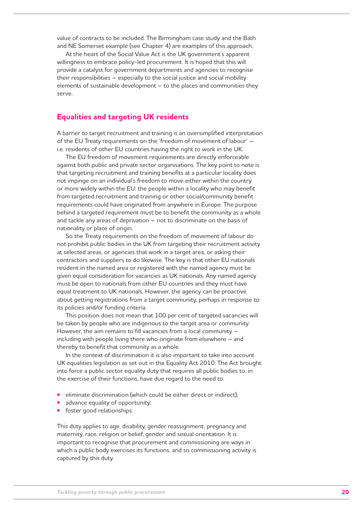value of contracts to be included. The Birmingham case study and the Bath and NE Somerset example (see Chapter 4) are examples of this approach.

At the heart of the Social Value Act is the UK government's apparent willingness to embrace policy-led procurement. It is hoped that this will provide a catalyst for government departments and agencies to recognise their responsibilities – especially to the social justice and social mobility elements of sustainable development – to the places and communities they serve.

#### **Equalities and targeting UK residents**

A barrier to target recruitment and training is an oversimplified interpretation of the EU Treaty requirements on the 'freedom of movement of labour' – i.e. residents of other EU countries having the right to work in the UK.

The EU freedom of movement requirements are directly enforceable against both public and private sector organisations. The key point to note is that targeting recruitment and training benefits at a particular locality does not impinge on an individual's freedom to move either within the country or more widely within the EU: the people within a locality who may benefit from targeted recruitment and training or other social/community benefit requirements could have originated from anywhere in Europe. The purpose behind a targeted requirement must be to benefit the community as a whole and tackle any areas of deprivation – not to discriminate on the basis of nationality or place of origin.

So the Treaty requirements on the freedom of movement of labour do not prohibit public bodies in the UK from targeting their recruitment activity at selected areas, or agencies that work in a target area, or asking their contractors and suppliers to do likewise. The key is that other EU nationals resident in the named area or registered with the named agency must be given equal consideration for vacancies as UK nationals. Any named agency must be open to nationals from other EU countries and they must have equal treatment to UK nationals. However, the agency can be proactive about getting registrations from a target community, perhaps in response to its policies and/or funding criteria.

This position does not mean that 100 per cent of targeted vacancies will be taken by people who are indigenous to the target area or community. However, the aim remains to fill vacancies from a local community – including with people living there who originate from elsewhere – and thereby to benefit that community as a whole.

In the context of discrimination it is also important to take into account UK equalities legislation as set out in the Equality Act 2010. The Act brought into force a public sector equality duty that requires all public bodies to, in the exercise of their functions, have due regard to the need to:

- eliminate discrimination (which could be either direct or indirect);
- advance equality of opportunity;
- foster good relationships.

This duty applies to age, disability, gender reassignment, pregnancy and maternity, race, religion or belief, gender and sexual orientation. It is important to recognise that procurement and commissioning are ways in which a public body exercises its functions, and so commissioning activity is captured by this duty.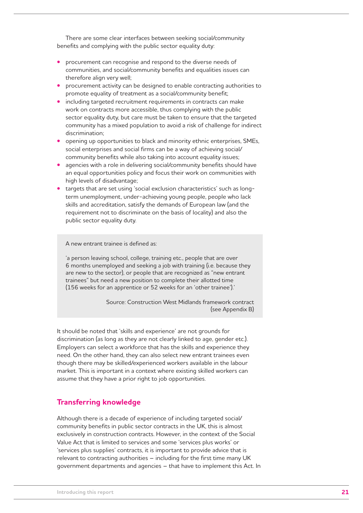There are some clear interfaces between seeking social/community benefits and complying with the public sector equality duty:

- **•** procurement can recognise and respond to the diverse needs of communities, and social/community benefits and equalities issues can therefore align very well;
- procurement activity can be designed to enable contracting authorities to promote equality of treatment as a social/community benefit;
- including targeted recruitment requirements in contracts can make work on contracts more accessible, thus complying with the public sector equality duty, but care must be taken to ensure that the targeted community has a mixed population to avoid a risk of challenge for indirect discrimination;
- **•** opening up opportunities to black and minority ethnic enterprises, SMEs, social enterprises and social firms can be a way of achieving social/ community benefits while also taking into account equality issues;
- agencies with a role in delivering social/community benefits should have an equal opportunities policy and focus their work on communities with high levels of disadvantage;
- targets that are set using 'social exclusion characteristics' such as longterm unemployment, under-achieving young people, people who lack skills and accreditation, satisfy the demands of European law (and the requirement not to discriminate on the basis of locality) and also the public sector equality duty.

A new entrant trainee is defined as:

'a person leaving school, college, training etc., people that are over 6 months unemployed and seeking a job with training (i.e. because they are new to the sector), or people that are recognized as "new entrant trainees" but need a new position to complete their allotted time (156 weeks for an apprentice or 52 weeks for an 'other trainee').'

> Source: Construction West Midlands framework contract (see Appendix B)

It should be noted that 'skills and experience' are not grounds for discrimination (as long as they are not clearly linked to age, gender etc.). Employers can select a workforce that has the skills and experience they need. On the other hand, they can also select new entrant trainees even though there may be skilled/experienced workers available in the labour market. This is important in a context where existing skilled workers can assume that they have a prior right to job opportunities.

#### **Transferring knowledge**

Although there is a decade of experience of including targeted social/ community benefits in public sector contracts in the UK, this is almost exclusively in construction contracts. However, in the context of the Social Value Act that is limited to services and some 'services plus works' or 'services plus supplies' contracts, it is important to provide advice that is relevant to contracting authorities – including for the first time many UK government departments and agencies – that have to implement this Act. In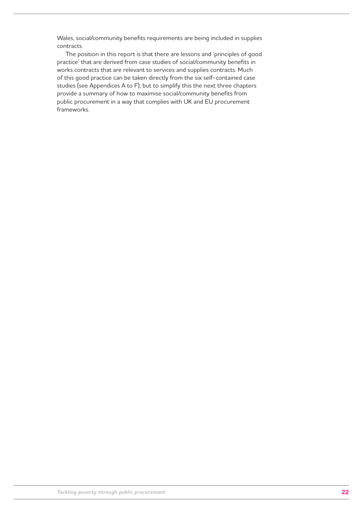Wales, social/community benefits requirements are being included in supplies contracts.

The position in this report is that there are lessons and 'principles of good practice' that are derived from case studies of social/community benefits in works contracts that are relevant to services and supplies contracts. Much of this good practice can be taken directly from the six self-contained case studies (see Appendices A to F), but to simplify this the next three chapters provide a summary of how to maximise social/community benefits from public procurement in a way that complies with UK and EU procurement frameworks.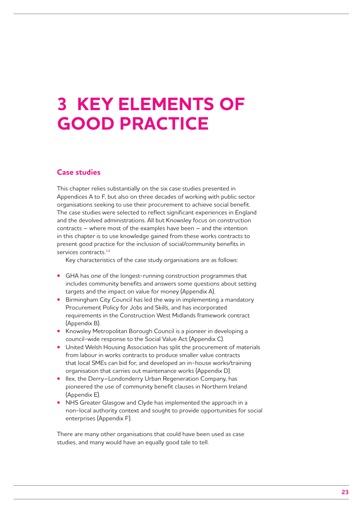### **3 Key elements of good practice**

#### **Case studies**

This chapter relies substantially on the six case studies presented in Appendices A to F, but also on three decades of working with public sector organisations seeking to use their procurement to achieve social benefit. The case studies were selected to reflect significant experiences in England and the devolved administrations. All but Knowsley focus on construction contracts – where most of the examples have been – and the intention in this chapter is to use knowledge gained from these works contracts to present good practice for the inclusion of social/community benefits in services contracts.<sup>14</sup>

Key characteristics of the case study organisations are as follows:

- **•**  GHA has one of the longest-running construction programmes that includes community benefits and answers some questions about setting targets and the impact on value for money (Appendix A).
- Birmingham City Council has led the way in implementing a mandatory Procurement Policy for Jobs and Skills, and has incorporated requirements in the Construction West Midlands framework contract (Appendix B).
- **•** Knowsley Metropolitan Borough Council is a pioneer in developing a council-wide response to the Social Value Act (Appendix C).
- **•**  United Welsh Housing Association has split the procurement of materials from labour in works contracts to produce smaller value contracts that local SMEs can bid for, and developed an in-house works/training organisation that carries out maintenance works (Appendix D).
- **•** Ilex, the Derry–Londonderry Urban Regeneration Company, has pioneered the use of community benefit clauses in Northern Ireland (Appendix E).
- **•** NHS Greater Glasgow and Clyde has implemented the approach in a non-local authority context and sought to provide opportunities for social enterprises (Appendix F).

There are many other organisations that could have been used as case studies, and many would have an equally good tale to tell.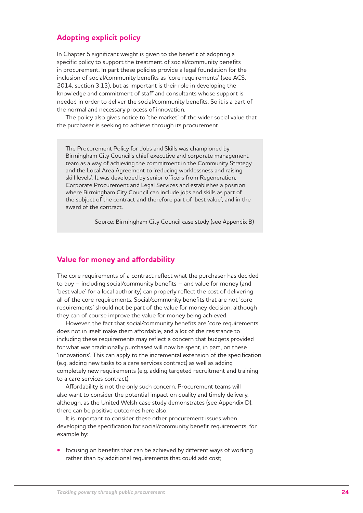#### **Adopting explicit policy**

In Chapter 5 significant weight is given to the benefit of adopting a specific policy to support the treatment of social/community benefits in procurement. In part these policies provide a legal foundation for the inclusion of social/community benefits as 'core requirements' (see ACS, 2014, section 3.13), but as important is their role in developing the knowledge and commitment of staff and consultants whose support is needed in order to deliver the social/community benefits. So it is a part of the normal and necessary process of innovation.

The policy also gives notice to 'the market' of the wider social value that the purchaser is seeking to achieve through its procurement.

The Procurement Policy for Jobs and Skills was championed by Birmingham City Council's chief executive and corporate management team as a way of achieving the commitment in the Community Strategy and the Local Area Agreement to 'reducing worklessness and raising skill levels'. It was developed by senior officers from Regeneration, Corporate Procurement and Legal Services and establishes a position where Birmingham City Council can include jobs and skills as part of the subject of the contract and therefore part of 'best value', and in the award of the contract.

Source: Birmingham City Council case study (see Appendix B)

#### **Value for money and affordability**

The core requirements of a contract reflect what the purchaser has decided to buy – including social/community benefits – and value for money (and 'best value' for a local authority) can properly reflect the cost of delivering all of the core requirements. Social/community benefits that are not 'core requirements' should not be part of the value for money decision, although they can of course improve the value for money being achieved.

However, the fact that social/community benefits are 'core requirements' does not in itself make them affordable, and a lot of the resistance to including these requirements may reflect a concern that budgets provided for what was traditionally purchased will now be spent, in part, on these 'innovations'. This can apply to the incremental extension of the specification (e.g. adding new tasks to a care services contract) as well as adding completely new requirements (e.g. adding targeted recruitment and training to a care services contract).

Affordability is not the only such concern. Procurement teams will also want to consider the potential impact on quality and timely delivery, although, as the United Welsh case study demonstrates (see Appendix D), there can be positive outcomes here also.

It is important to consider these other procurement issues when developing the specification for social/community benefit requirements, for example by:

focusing on benefits that can be achieved by different ways of working rather than by additional requirements that could add cost;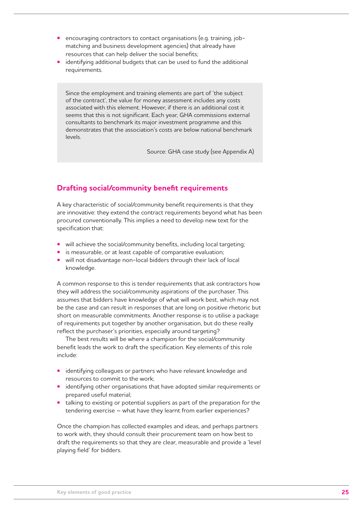- **•** encouraging contractors to contact organisations (e.g. training, jobmatching and business development agencies) that already have resources that can help deliver the social benefits;
- **•**  identifying additional budgets that can be used to fund the additional requirements.

Since the employment and training elements are part of 'the subject of the contract', the value for money assessment includes any costs associated with this element. However, if there is an additional cost it seems that this is not significant. Each year, GHA commissions external consultants to benchmark its major investment programme and this demonstrates that the association's costs are below national benchmark levels.

Source: GHA case study (see Appendix A)

#### **Drafting social/community benefit requirements**

A key characteristic of social/community benefit requirements is that they are innovative: they extend the contract requirements beyond what has been procured conventionally. This implies a need to develop new text for the specification that:

- will achieve the social/community benefits, including local targeting;
- **•** is measurable, or at least capable of comparative evaluation;
- will not disadvantage non-local bidders through their lack of local knowledge.

A common response to this is tender requirements that ask contractors how they will address the social/community aspirations of the purchaser. This assumes that bidders have knowledge of what will work best, which may not be the case and can result in responses that are long on positive rhetoric but short on measurable commitments. Another response is to utilise a package of requirements put together by another organisation, but do these really reflect the purchaser's priorities, especially around targeting?

The best results will be where a champion for the social/community benefit leads the work to draft the specification. Key elements of this role include:

- **•**  identifying colleagues or partners who have relevant knowledge and resources to commit to the work;
- **•** identifying other organisations that have adopted similar requirements or prepared useful material;
- talking to existing or potential suppliers as part of the preparation for the tendering exercise – what have they learnt from earlier experiences?

Once the champion has collected examples and ideas, and perhaps partners to work with, they should consult their procurement team on how best to draft the requirements so that they are clear, measurable and provide a 'level playing field' for bidders.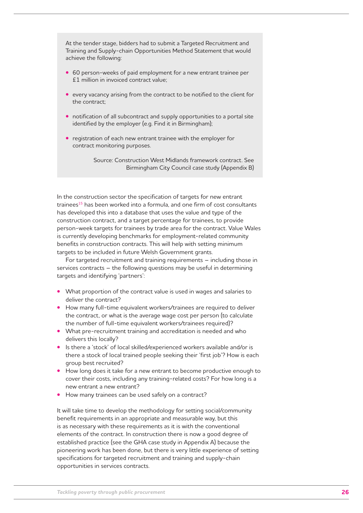At the tender stage, bidders had to submit a Targeted Recruitment and Training and Supply-chain Opportunities Method Statement that would achieve the following:

- 60 person-weeks of paid employment for a new entrant trainee per £1 million in invoiced contract value;
- every vacancy arising from the contract to be notified to the client for the contract;
- **•** notification of all subcontract and supply opportunities to a portal site identified by the employer (e.g. Find it in Birmingham);
- **•** registration of each new entrant trainee with the employer for contract monitoring purposes.

Source: Construction West Midlands framework contract. See Birmingham City Council case study (Appendix B)

In the construction sector the specification of targets for new entrant trainees<sup>15</sup> has been worked into a formula, and one firm of cost consultants has developed this into a database that uses the value and type of the construction contract, and a target percentage for trainees, to provide person-week targets for trainees by trade area for the contract. Value Wales is currently developing benchmarks for employment-related community benefits in construction contracts. This will help with setting minimum targets to be included in future Welsh Government grants.

For targeted recruitment and training requirements – including those in services contracts – the following questions may be useful in determining targets and identifying 'partners':

- **What proportion of the contract value is used in wages and salaries to** deliver the contract?
- **•**  How many full-time equivalent workers/trainees are required to deliver the contract, or what is the average wage cost per person (to calculate the number of full-time equivalent workers/trainees required)?
- What pre-recruitment training and accreditation is needed and who delivers this locally?
- **•**  Is there a 'stock' of local skilled/experienced workers available and/or is there a stock of local trained people seeking their 'first job'? How is each group best recruited?
- **•**  How long does it take for a new entrant to become productive enough to cover their costs, including any training-related costs? For how long is a new entrant a new entrant?
- How many trainees can be used safely on a contract?

It will take time to develop the methodology for setting social/community benefit requirements in an appropriate and measurable way, but this is as necessary with these requirements as it is with the conventional elements of the contract. In construction there is now a good degree of established practice (see the GHA case study in Appendix A) because the pioneering work has been done, but there is very little experience of setting specifications for targeted recruitment and training and supply-chain opportunities in services contracts.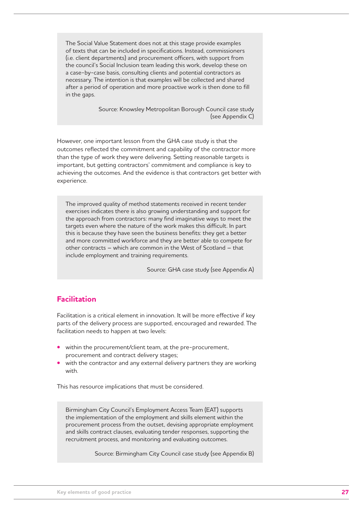The Social Value Statement does not at this stage provide examples of texts that can be included in specifications. Instead, commissioners (i.e. client departments) and procurement officers, with support from the council's Social Inclusion team leading this work, develop these on a case-by-case basis, consulting clients and potential contractors as necessary. The intention is that examples will be collected and shared after a period of operation and more proactive work is then done to fill in the gaps.

> Source: Knowsley Metropolitan Borough Council case study (see Appendix C)

However, one important lesson from the GHA case study is that the outcomes reflected the commitment and capability of the contractor more than the type of work they were delivering. Setting reasonable targets is important, but getting contractors' commitment and compliance is key to achieving the outcomes. And the evidence is that contractors get better with experience.

The improved quality of method statements received in recent tender exercises indicates there is also growing understanding and support for the approach from contractors: many find imaginative ways to meet the targets even where the nature of the work makes this difficult. In part this is because they have seen the business benefits: they get a better and more committed workforce and they are better able to compete for other contracts – which are common in the West of Scotland – that include employment and training requirements.

Source: GHA case study (see Appendix A)

#### **Facilitation**

Facilitation is a critical element in innovation. It will be more effective if key parts of the delivery process are supported, encouraged and rewarded. The facilitation needs to happen at two levels:

- within the procurement/client team, at the pre-procurement, procurement and contract delivery stages;
- with the contractor and any external delivery partners they are working with.

This has resource implications that must be considered.

Birmingham City Council's Employment Access Team (EAT) supports the implementation of the employment and skills element within the procurement process from the outset, devising appropriate employment and skills contract clauses, evaluating tender responses, supporting the recruitment process, and monitoring and evaluating outcomes.

Source: Birmingham City Council case study (see Appendix B)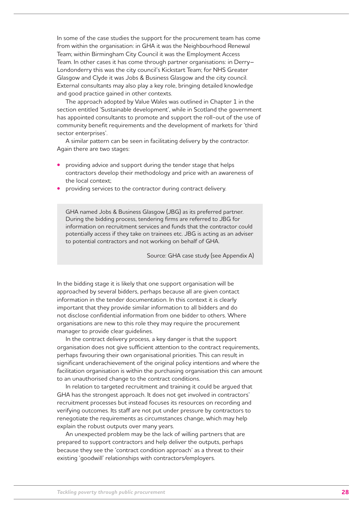In some of the case studies the support for the procurement team has come from within the organisation: in GHA it was the Neighbourhood Renewal Team; within Birmingham City Council it was the Employment Access Team. In other cases it has come through partner organisations: in Derry– Londonderry this was the city council's Kickstart Team; for NHS Greater Glasgow and Clyde it was Jobs & Business Glasgow and the city council. External consultants may also play a key role, bringing detailed knowledge and good practice gained in other contexts.

The approach adopted by Value Wales was outlined in Chapter 1 in the section entitled 'Sustainable development', while in Scotland the government has appointed consultants to promote and support the roll-out of the use of community benefit requirements and the development of markets for 'third sector enterprises'.

A similar pattern can be seen in facilitating delivery by the contractor. Again there are two stages:

- **providing advice and support during the tender stage that helps** contractors develop their methodology and price with an awareness of the local context;
- providing services to the contractor during contract delivery.

GHA named Jobs & Business Glasgow (JBG) as its preferred partner. During the bidding process, tendering firms are referred to JBG for information on recruitment services and funds that the contractor could potentially access if they take on trainees etc. JBG is acting as an adviser to potential contractors and not working on behalf of GHA.

Source: GHA case study (see Appendix A)

In the bidding stage it is likely that one support organisation will be approached by several bidders, perhaps because all are given contact information in the tender documentation. In this context it is clearly important that they provide similar information to all bidders and do not disclose confidential information from one bidder to others. Where organisations are new to this role they may require the procurement manager to provide clear guidelines.

In the contract delivery process, a key danger is that the support organisation does not give sufficient attention to the contract requirements, perhaps favouring their own organisational priorities. This can result in significant underachievement of the original policy intentions and where the facilitation organisation is within the purchasing organisation this can amount to an unauthorised change to the contract conditions.

In relation to targeted recruitment and training it could be argued that GHA has the strongest approach. It does not get involved in contractors' recruitment processes but instead focuses its resources on recording and verifying outcomes. Its staff are not put under pressure by contractors to renegotiate the requirements as circumstances change, which may help explain the robust outputs over many years.

An unexpected problem may be the lack of willing partners that are prepared to support contractors and help deliver the outputs, perhaps because they see the 'contract condition approach' as a threat to their existing 'goodwill' relationships with contractors/employers.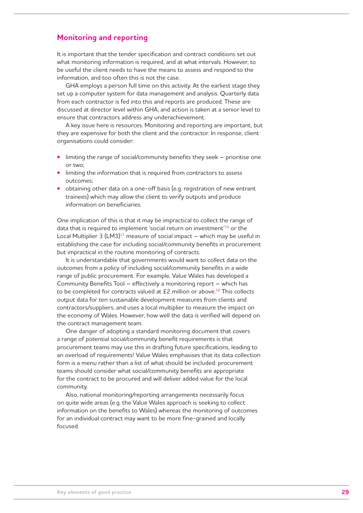#### **Monitoring and reporting**

It is important that the tender specification and contract conditions set out what monitoring information is required, and at what intervals. However, to be useful the client needs to have the means to assess and respond to the information, and too often this is not the case.

GHA employs a person full time on this activity. At the earliest stage they set up a computer system for data management and analysis. Quarterly data from each contractor is fed into this and reports are produced. These are discussed at director level within GHA, and action is taken at a senior level to ensure that contractors address any underachievement.

A key issue here is resources. Monitoring and reporting are important, but they are expensive for both the client and the contractor. In response, client organisations could consider:

- limiting the range of social/community benefits they seek prioritise one or two;
- limiting the information that is required from contractors to assess outcomes;
- obtaining other data on a one-off basis (e.g. registration of new entrant trainees) which may allow the client to verify outputs and produce information on beneficiaries.

One implication of this is that it may be impractical to collect the range of data that is required to implement 'social return on investment'16 or the Local Multiplier 3  $(LM3)^{17}$  measure of social impact – which may be useful in establishing the case for including social/community benefits in procurement but impractical in the routine monitoring of contracts.

It is understandable that governments would want to collect data on the outcomes from a policy of including social/community benefits in a wide range of public procurement. For example, Value Wales has developed a Community Benefits Tool – effectively a monitoring report – which has to be completed for contracts valued at £2 million or above.<sup>18</sup> This collects output data for ten sustainable development measures from clients and contractors/suppliers, and uses a local multiplier to measure the impact on the economy of Wales. However, how well the data is verified will depend on the contract management team.

One danger of adopting a standard monitoring document that covers a range of potential social/community benefit requirements is that procurement teams may use this in drafting future specifications, leading to an overload of requirements! Value Wales emphasises that its data collection form is a menu rather than a list of what should be included: procurement teams should consider what social/community benefits are appropriate for the contract to be procured and will deliver added value for the local community.

Also, national monitoring/reporting arrangements necessarily focus on quite wide areas (e.g. the Value Wales approach is seeking to collect information on the benefits to Wales) whereas the monitoring of outcomes for an individual contract may want to be more fine-grained and locally focused.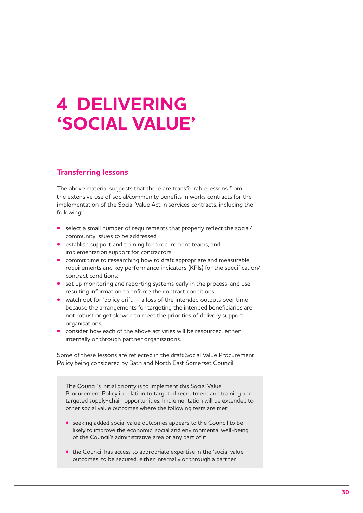## **4 Delivering 'social value'**

#### **Transferring lessons**

The above material suggests that there are transferrable lessons from the extensive use of social/community benefits in works contracts for the implementation of the Social Value Act in services contracts, including the following:

- select a small number of requirements that properly reflect the social/ community issues to be addressed;
- establish support and training for procurement teams, and implementation support for contractors;
- commit time to researching how to draft appropriate and measurable requirements and key performance indicators (KPIs) for the specification/ contract conditions;
- set up monitoring and reporting systems early in the process, and use resulting information to enforce the contract conditions;
- watch out for 'policy drift' a loss of the intended outputs over time because the arrangements for targeting the intended beneficiaries are not robust or get skewed to meet the priorities of delivery support organisations;
- consider how each of the above activities will be resourced, either internally or through partner organisations.

Some of these lessons are reflected in the draft Social Value Procurement Policy being considered by Bath and North East Somerset Council.

The Council's initial priority is to implement this Social Value Procurement Policy in relation to targeted recruitment and training and targeted supply-chain opportunities. Implementation will be extended to other social value outcomes where the following tests are met:

- **•** seeking added social value outcomes appears to the Council to be likely to improve the economic, social and environmental well-being of the Council's administrative area or any part of it;
- **•** the Council has access to appropriate expertise in the 'social value outcomes' to be secured, either internally or through a partner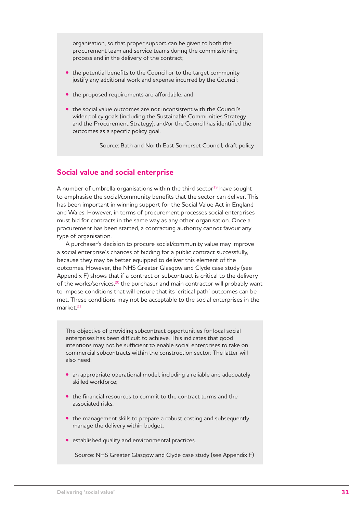organisation, so that proper support can be given to both the procurement team and service teams during the commissioning process and in the delivery of the contract;

- the potential benefits to the Council or to the target community justify any additional work and expense incurred by the Council;
- the proposed requirements are affordable; and
- **•** the social value outcomes are not inconsistent with the Council's wider policy goals (including the Sustainable Communities Strategy and the Procurement Strategy), and/or the Council has identified the outcomes as a specific policy goal.

Source: Bath and North East Somerset Council, draft policy

#### **Social value and social enterprise**

A number of umbrella organisations within the third sector $19$  have sought to emphasise the social/community benefits that the sector can deliver. This has been important in winning support for the Social Value Act in England and Wales. However, in terms of procurement processes social enterprises must bid for contracts in the same way as any other organisation. Once a procurement has been started, a contracting authority cannot favour any type of organisation.

A purchaser's decision to procure social/community value may improve a social enterprise's chances of bidding for a public contract successfully, because they may be better equipped to deliver this element of the outcomes. However, the NHS Greater Glasgow and Clyde case study (see Appendix F) shows that if a contract or subcontract is critical to the delivery of the works/services,<sup>20</sup> the purchaser and main contractor will probably want to impose conditions that will ensure that its 'critical path' outcomes can be met. These conditions may not be acceptable to the social enterprises in the market.<sup>21</sup>

The objective of providing subcontract opportunities for local social enterprises has been difficult to achieve. This indicates that good intentions may not be sufficient to enable social enterprises to take on commercial subcontracts within the construction sector. The latter will also need:

- **•** an appropriate operational model, including a reliable and adequately skilled workforce;
- the financial resources to commit to the contract terms and the associated risks;
- the management skills to prepare a robust costing and subsequently manage the delivery within budget;
- **•**  established quality and environmental practices.

Source: NHS Greater Glasgow and Clyde case study (see Appendix F)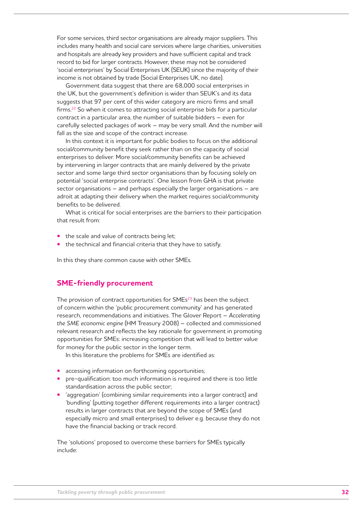For some services, third sector organisations are already major suppliers. This includes many health and social care services where large charities, universities and hospitals are already key providers and have sufficient capital and track record to bid for larger contracts. However, these may not be considered 'social enterprises' by Social Enterprises UK (SEUK) since the majority of their income is not obtained by trade (Social Enterprises UK, no date).

Government data suggest that there are 68,000 social enterprises in the UK, but the government's definition is wider than SEUK's and its data suggests that 97 per cent of this wider category are micro firms and small firms.22 So when it comes to attracting social enterprise bids for a particular contract in a particular area, the number of suitable bidders – even for carefully selected packages of work – may be very small. And the number will fall as the size and scope of the contract increase.

In this context it is important for public bodies to focus on the additional social/community benefit they seek rather than on the capacity of social enterprises to deliver. More social/community benefits can be achieved by intervening in larger contracts that are mainly delivered by the private sector and some large third sector organisations than by focusing solely on potential 'social enterprise contracts'. One lesson from GHA is that private sector organisations – and perhaps especially the larger organisations – are adroit at adapting their delivery when the market requires social/community benefits to be delivered.

What is critical for social enterprises are the barriers to their participation that result from:

- the scale and value of contracts being let;
- **•** the technical and financial criteria that they have to satisfy.

In this they share common cause with other SMEs.

#### **SME-friendly procurement**

The provision of contract opportunities for SMEs<sup>23</sup> has been the subject of concern within the 'public procurement community' and has generated research, recommendations and initiatives. The Glover Report – *Accelerating the SME economic engine* (HM Treasury 2008) – collected and commissioned relevant research and reflects the key rationale for government in promoting opportunities for SMEs: increasing competition that will lead to better value for money for the public sector in the longer term.

In this literature the problems for SMEs are identified as:

- accessing information on forthcoming opportunities:
- **pre-qualification: too much information is required and there is too little** standardisation across the public sector;
- **taggregation' (combining similar requirements into a larger contract) and** 'bundling' (putting together different requirements into a larger contract) results in larger contracts that are beyond the scope of SMEs (and especially micro and small enterprises) to deliver e.g. because they do not have the financial backing or track record.

The 'solutions' proposed to overcome these barriers for SMEs typically include: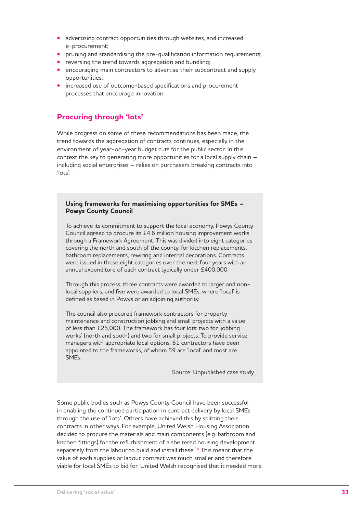- advertising contract opportunities through websites, and increased e-procurement;
- **pruning and standardising the pre-qualification information requirements;**
- **•** reversing the trend towards aggregation and bundling;
- encouraging main contractors to advertise their subcontract and supply opportunities;
- increased use of outcome-based specifications and procurement processes that encourage innovation.

#### **Procuring through 'lots'**

While progress on some of these recommendations has been made, the trend towards the aggregation of contracts continues, especially in the environment of year-on-year budget cuts for the public sector. In this context the key to generating more opportunities for a local supply chain – including social enterprises – relies on purchasers breaking contracts into 'lots'.

#### **Using frameworks for maximising opportunities for SMEs – Powys County Council**

To achieve its commitment to support the local economy, Powys County Council agreed to procure its £4.6 million housing improvement works through a Framework Agreement. This was divided into eight categories covering the north and south of the county, for kitchen replacements, bathroom replacements, rewiring and internal decorations. Contracts were issued in these eight categories over the next four years with an annual expenditure of each contract typically under £400,000.

Through this process, three contracts were awarded to larger and nonlocal suppliers, and five were awarded to local SMEs, where 'local' is defined as based in Powys or an adjoining authority.

The council also procured framework contractors for property maintenance and construction jobbing and small projects with a value of less than £25,000. The framework has four lots: two for 'jobbing works' (north and south) and two for small projects. To provide service managers with appropriate local options, 61 contractors have been appointed to the frameworks, of whom 59 are 'local' and most are SMEs.

Source: Unpublished case study

Some public bodies such as Powys County Council have been successful in enabling the continued participation in contract delivery by local SMEs through the use of 'lots'. Others have achieved this by splitting their contracts in other ways. For example, United Welsh Housing Association decided to procure the materials and main components (e.g. bathroom and kitchen fittings) for the refurbishment of a sheltered housing development separately from the labour to build and install these.<sup>24</sup> This meant that the value of each supplies or labour contract was much smaller and therefore viable for local SMEs to bid for. United Welsh recognised that it needed more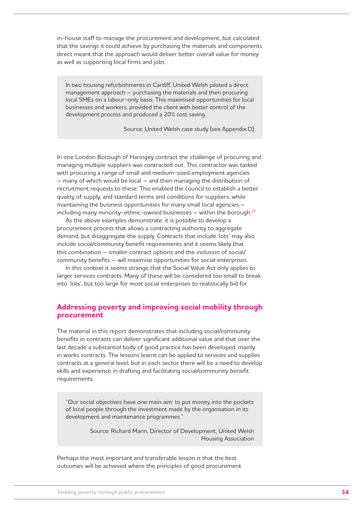in-house staff to manage the procurement and development, but calculated that the savings it could achieve by purchasing the materials and components direct meant that the approach would deliver better overall value for money as well as supporting local firms and jobs.

In two housing refurbishments in Cardiff, United Welsh piloted a direct management approach – purchasing the materials and then procuring local SMEs on a labour-only basis. This maximised opportunities for local businesses and workers, provided the client with better control of the development process and produced a 20% cost saving.

Source: United Welsh case study (see Appendix D)

In one London Borough of Haringey contract the challenge of procuring and managing multiple suppliers was contracted out. This contractor was tasked with procuring a range of small and medium-sized employment agencies – many of which would be local – and then managing the distribution of recruitment requests to these. This enabled the council to establish a better quality of supply, and standard terms and conditions for suppliers, while maintaining the business opportunities for many small local agencies – including many minority-ethnic-owned businesses  $-$  within the borough.<sup>25</sup>

As the above examples demonstrate, it is possible to develop a procurement process that allows a contracting authority to aggregate demand, but disaggregate the supply. Contracts that include 'lots' may also include social/community benefit requirements and it seems likely that this combination – smaller contract options and the inclusion of social/ community benefits – will maximise opportunities for social enterprises.

In this context it seems strange that the Social Value Act only applies to larger services contracts. Many of these will be considered too small to break into 'lots', but too large for most social enterprises to realistically bid for.

#### **Addressing poverty and improving social mobility through procurement**

The material in this report demonstrates that including social/community benefits in contracts can deliver significant additional value and that over the last decade a substantial body of good practice has been developed, mainly in works contracts. The lessons learnt can be applied to services and supplies contracts at a general level, but in each sector there will be a need to develop skills and experience in drafting and facilitating social/community benefit requirements.

"Our social objectives have one main aim: to put money into the pockets of local people through the investment made by the organisation in its development and maintenance programmes."

> Source: Richard Mann, Director of Development, United Welsh Housing Association

Perhaps the most important and transferable lesson is that the best outcomes will be achieved where the principles of good procurement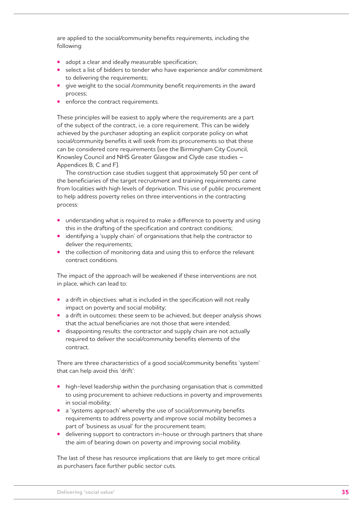are applied to the social/community benefits requirements, including the following:

- **•**  adopt a clear and ideally measurable specification;
- select a list of bidders to tender who have experience and/or commitment to delivering the requirements;
- give weight to the social /community benefit requirements in the award process;
- enforce the contract requirements.

These principles will be easiest to apply where the requirements are a part of the subject of the contract, i.e. a core requirement. This can be widely achieved by the purchaser adopting an explicit corporate policy on what social/community benefits it will seek from its procurements so that these can be considered core requirements (see the Birmingham City Council, Knowsley Council and NHS Greater Glasgow and Clyde case studies – Appendices B, C and F).

The construction case studies suggest that approximately 50 per cent of the beneficiaries of the target recruitment and training requirements came from localities with high levels of deprivation. This use of public procurement to help address poverty relies on three interventions in the contracting process:

- **•** understanding what is required to make a difference to poverty and using this in the drafting of the specification and contract conditions;
- **•**  identifying a 'supply chain' of organisations that help the contractor to deliver the requirements;
- the collection of monitoring data and using this to enforce the relevant contract conditions.

The impact of the approach will be weakened if these interventions are not in place, which can lead to:

- a drift in objectives: what is included in the specification will not really impact on poverty and social mobility;
- **•** a drift in outcomes: these seem to be achieved, but deeper analysis shows that the actual beneficiaries are not those that were intended;
- **•** disappointing results: the contractor and supply chain are not actually required to deliver the social/community benefits elements of the contract.

There are three characteristics of a good social/community benefits 'system' that can help avoid this 'drift':

- high-level leadership within the purchasing organisation that is committed to using procurement to achieve reductions in poverty and improvements in social mobility;
- a 'systems approach' whereby the use of social/community benefits requirements to address poverty and improve social mobility becomes a part of 'business as usual' for the procurement team;
- delivering support to contractors in-house or through partners that share the aim of bearing down on poverty and improving social mobility.

The last of these has resource implications that are likely to get more critical as purchasers face further public sector cuts.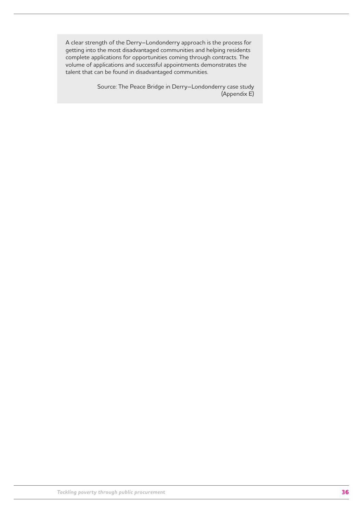A clear strength of the Derry–Londonderry approach is the process for getting into the most disadvantaged communities and helping residents complete applications for opportunities coming through contracts. The volume of applications and successful appointments demonstrates the talent that can be found in disadvantaged communities.

> Source: The Peace Bridge in Derry–Londonderry case study (Appendix E)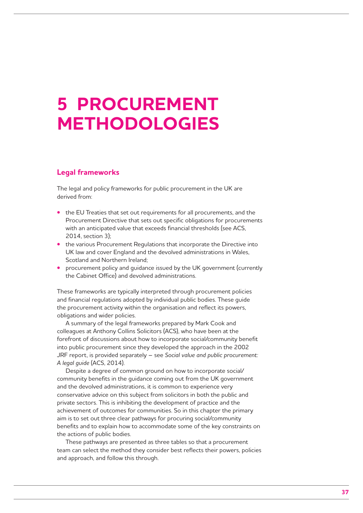# **5 Procurement methodologies**

# **Legal frameworks**

The legal and policy frameworks for public procurement in the UK are derived from:

- **•** the EU Treaties that set out requirements for all procurements, and the Procurement Directive that sets out specific obligations for procurements with an anticipated value that exceeds financial thresholds (see ACS, 2014, section 3);
- **•** the various Procurement Regulations that incorporate the Directive into UK law and cover England and the devolved administrations in Wales, Scotland and Northern Ireland;
- **procurement policy and guidance issued by the UK government (currently** the Cabinet Office) and devolved administrations.

These frameworks are typically interpreted through procurement policies and financial regulations adopted by individual public bodies. These guide the procurement activity within the organisation and reflect its powers, obligations and wider policies.

A summary of the legal frameworks prepared by Mark Cook and colleagues at Anthony Collins Solicitors (ACS), who have been at the forefront of discussions about how to incorporate social/community benefit into public procurement since they developed the approach in the 2002 JRF report, is provided separately – see *Social value and public procurement: A legal guide* (ACS, 2014).

Despite a degree of common ground on how to incorporate social/ community benefits in the guidance coming out from the UK government and the devolved administrations, it is common to experience very conservative advice on this subject from solicitors in both the public and private sectors. This is inhibiting the development of practice and the achievement of outcomes for communities. So in this chapter the primary aim is to set out three clear pathways for procuring social/community benefits and to explain how to accommodate some of the key constraints on the actions of public bodies.

These pathways are presented as three tables so that a procurement team can select the method they consider best reflects their powers, policies and approach, and follow this through.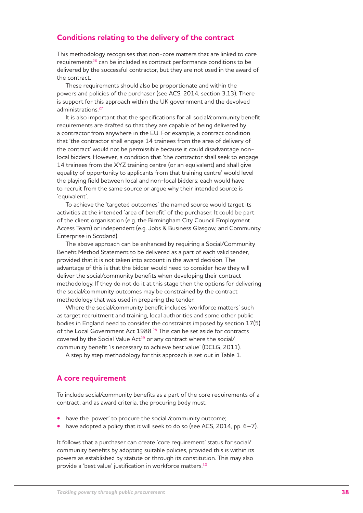## **Conditions relating to the delivery of the contract**

This methodology recognises that non-core matters that are linked to core requirements<sup>26</sup> can be included as contract performance conditions to be delivered by the successful contractor, but they are not used in the award of the contract.

These requirements should also be proportionate and within the powers and policies of the purchaser (see ACS, 2014, section 3.13). There is support for this approach within the UK government and the devolved administrations.<sup>27</sup>

It is also important that the specifications for all social/community benefit requirements are drafted so that they are capable of being delivered by a contractor from anywhere in the EU. For example, a contract condition that 'the contractor shall engage 14 trainees from the area of delivery of the contract' would not be permissible because it could disadvantage nonlocal bidders. However, a condition that 'the contractor shall seek to engage 14 trainees from the XYZ training centre (or an equivalent) and shall give equality of opportunity to applicants from that training centre' would level the playing field between local and non-local bidders: each would have to recruit from the same source or argue why their intended source is 'equivalent'.

To achieve the 'targeted outcomes' the named source would target its activities at the intended 'area of benefit' of the purchaser. It could be part of the client organisation (e.g. the Birmingham City Council Employment Access Team) or independent (e.g. Jobs & Business Glasgow, and Community Enterprise in Scotland).

The above approach can be enhanced by requiring a Social/Community Benefit Method Statement to be delivered as a part of each valid tender, provided that it is not taken into account in the award decision. The advantage of this is that the bidder would need to consider how they will deliver the social/community benefits when developing their contract methodology. If they do not do it at this stage then the options for delivering the social/community outcomes may be constrained by the contract methodology that was used in preparing the tender.

Where the social/community benefit includes 'workforce matters' such as target recruitment and training, local authorities and some other public bodies in England need to consider the constraints imposed by section 17(5) of the Local Government Act 1988.<sup>28</sup> This can be set aside for contracts covered by the Social Value Act<sup>29</sup> or any contract where the social/ community benefit 'is necessary to achieve best value' (DCLG, 2011).

A step by step methodology for this approach is set out in Table 1.

### **A core requirement**

To include social/community benefits as a part of the core requirements of a contract, and as award criteria, the procuring body must:

- have the 'power' to procure the social /community outcome;
- have adopted a policy that it will seek to do so (see ACS, 2014, pp. 6–7).

It follows that a purchaser can create 'core requirement' status for social/ community benefits by adopting suitable policies, provided this is within its powers as established by statute or through its constitution. This may also provide a 'best value' justification in workforce matters.<sup>30</sup>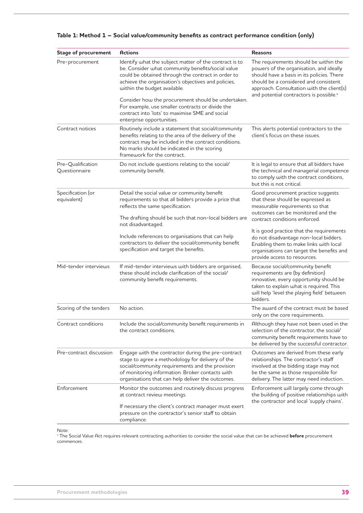| <b>Stage of procurement</b>        | <b>Actions</b>                                                                                                                                                                                                                                                    | <b>Reasons</b>                                                                                                                                                                                                                                                              |  |
|------------------------------------|-------------------------------------------------------------------------------------------------------------------------------------------------------------------------------------------------------------------------------------------------------------------|-----------------------------------------------------------------------------------------------------------------------------------------------------------------------------------------------------------------------------------------------------------------------------|--|
| Pre-procurement                    | Identify what the subject matter of the contract is to<br>be. Consider what community benefits/social value<br>could be obtained through the contract in order to<br>achieve the organisation's objectives and policies,<br>within the budget available.          | The requirements should be within the<br>powers of the organisation, and ideally<br>should have a basis in its policies. There<br>should be a considered and consistent<br>approach. Consultation with the client(s)<br>and potential contractors is possible. <sup>a</sup> |  |
|                                    | Consider how the procurement should be undertaken.<br>For example, use smaller contracts or divide the<br>contract into 'lots' to maximise SME and social<br>enterprise opportunities.                                                                            |                                                                                                                                                                                                                                                                             |  |
| Contract notices                   | Routinely include a statement that social/community<br>benefits relating to the area of the delivery of the<br>contract may be included in the contract conditions.<br>No marks should be indicated in the scoring<br>framework for the contract.                 | This alerts potential contractors to the<br>client's focus on these issues.                                                                                                                                                                                                 |  |
| Pre-Qualification<br>Questionnaire | Do not include questions relating to the social/<br>community benefit.                                                                                                                                                                                            | It is legal to ensure that all bidders have<br>the technical and managerial competence<br>to comply with the contract conditions,<br>but this is not critical.                                                                                                              |  |
| Specification (or<br>equivalent)   | Detail the social value or community benefit<br>requirements so that all bidders provide a price that<br>reflects the same specification.<br>The drafting should be such that non-local bidders are                                                               | Good procurement practice suggests<br>that these should be expressed as<br>measurable requirements so that<br>outcomes can be monitored and the<br>contract conditions enforced.                                                                                            |  |
|                                    | not disadvantaged.<br>Include references to organisations that can help<br>contractors to deliver the social/community benefit<br>specification and target the benefits.                                                                                          | It is good practice that the requirements<br>do not disadvantage non-local bidders.<br>Enabling them to make links with local<br>organisations can target the benefits and<br>provide access to resources.                                                                  |  |
| Mid-tender interviews              | If mid-tender interviews with bidders are organised,<br>these should include clarification of the social/<br>community benefit requirements.                                                                                                                      | Because social/community benefit<br>requirements are (by definition)<br>innovative, every opportunity should be<br>taken to explain what is required. This<br>will help 'level the playing field' between<br>bidders.                                                       |  |
| Scoring of the tenders             | No action.                                                                                                                                                                                                                                                        | The award of the contract must be based<br>only on the core requirements.                                                                                                                                                                                                   |  |
| Contract conditions                | Include the social/community benefit requirements in<br>the contract conditions.                                                                                                                                                                                  | Although they have not been used in the<br>selection of the contractor, the social/<br>community benefit requirements have to<br>be delivered by the successful contractor.                                                                                                 |  |
| Pre-contract discussion            | Engage with the contractor during the pre-contract<br>stage to agree a methodology for delivery of the<br>social/community requirements and the provision<br>of monitoring information. Broker contacts with<br>organisations that can help deliver the outcomes. | Outcomes are derived from these early<br>relationships. The contractor's staff<br>involved at the bidding stage may not<br>be the same as those responsible for<br>delivery. The latter may need induction.                                                                 |  |
| Enforcement                        | Monitor the outcomes and routinely discuss progress<br>at contract review meetings.<br>If necessary the client's contract manager must exert<br>pressure on the contractor's senior staff to obtain<br>compliance.                                                | Enforcement will largely come through<br>the building of positive relationships with<br>the contractor and local 'supply chains'.                                                                                                                                           |  |

### **Table 1: Method 1 – Social value/community benefits as contract performance condition (only)**

Note:

<sup>a</sup> The Social Value Act requires relevant contracting authorities to consider the social value that can be achieved **before** procurement commences.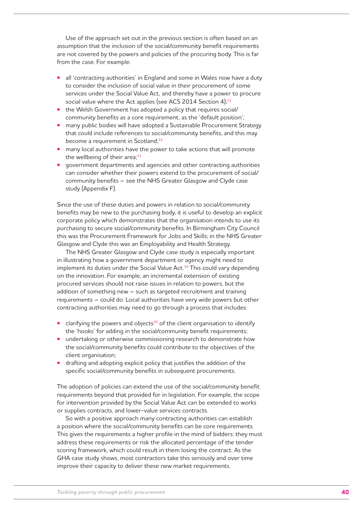Use of the approach set out in the previous section is often based on an assumption that the inclusion of the social/community benefit requirements are not covered by the powers and policies of the procuring body. This is far from the case. For example:

- all 'contracting authorities' in England and some in Wales now have a duty to consider the inclusion of social value in their procurement of some services under the Social Value Act, and thereby have a power to procure social value where the Act applies (see ACS 2014 Section 4);<sup>31</sup>
- the Welsh Government has adopted a policy that requires social/ community benefits as a core requirement, as the 'default position';
- **•** many public bodies will have adopted a Sustainable Procurement Strategy that could include references to social/community benefits, and this may become a requirement in Scotland;<sup>32</sup>
- **•** many local authorities have the power to take actions that will promote the wellbeing of their area;<sup>33</sup>
- government departments and agencies and other contracting authorities can consider whether their powers extend to the procurement of social/ community benefits – see the NHS Greater Glasgow and Clyde case study (Appendix F).

Since the use of these duties and powers in relation to social/community benefits may be new to the purchasing body, it is useful to develop an explicit corporate policy which demonstrates that the organisation intends to use its purchasing to secure social/community benefits. In Birmingham City Council this was the Procurement Framework for Jobs and Skills; in the NHS Greater Glasgow and Clyde this was an Employability and Health Strategy.

The NHS Greater Glasgow and Clyde case study is especially important in illustrating how a government department or agency might need to implement its duties under the Social Value Act.<sup>34</sup> This could vary depending on the innovation. For example, an incremental extension of existing procured services should not raise issues in relation to powers, but the addition of something new – such as targeted recruitment and training requirements – could do. Local authorities have very wide powers but other contracting authorities may need to go through a process that includes:

- clarifying the powers and objects<sup>35</sup> of the client organisation to identify the 'hooks' for adding in the social/community benefit requirements;
- **•** undertaking or otherwise commissioning research to demonstrate how the social/community benefits could contribute to the objectives of the client organisation;
- **•**  drafting and adopting explicit policy that justifies the addition of the specific social/community benefits in subsequent procurements.

The adoption of policies can extend the use of the social/community benefit requirements beyond that provided for in legislation. For example, the scope for intervention provided by the Social Value Act can be extended to works or supplies contracts, and lower-value services contracts.

So with a positive approach many contracting authorities can establish a position where the social/community benefits can be core requirements. This gives the requirements a higher profile in the mind of bidders: they must address these requirements or risk the allocated percentage of the tender scoring framework, which could result in them losing the contract. As the GHA case study shows, most contractors take this seriously and over time improve their capacity to deliver these new market requirements.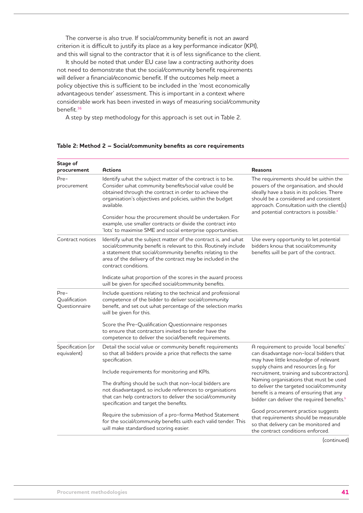The converse is also true. If social/community benefit is not an award criterion it is difficult to justify its place as a key performance indicator (KPI), and this will signal to the contractor that it is of less significance to the client.

It should be noted that under EU case law a contracting authority does not need to demonstrate that the social/community benefit requirements will deliver a financial/economic benefit. If the outcomes help meet a policy objective this is sufficient to be included in the 'most economically advantageous tender' assessment. This is important in a context where considerable work has been invested in ways of measuring social/community benefit.36

A step by step methodology for this approach is set out in Table 2.

| Stage of<br>procurement                                                                                                                                                                                                                                                                                                                                                                                                                                                | <b>Actions</b>                                                                                                                                                                                                                                                                                                                                                                                                 | <b>Reasons</b>                                                                                                                                                                                                                                                              |  |  |
|------------------------------------------------------------------------------------------------------------------------------------------------------------------------------------------------------------------------------------------------------------------------------------------------------------------------------------------------------------------------------------------------------------------------------------------------------------------------|----------------------------------------------------------------------------------------------------------------------------------------------------------------------------------------------------------------------------------------------------------------------------------------------------------------------------------------------------------------------------------------------------------------|-----------------------------------------------------------------------------------------------------------------------------------------------------------------------------------------------------------------------------------------------------------------------------|--|--|
| Identify what the subject matter of the contract is to be.<br>Pre-<br>Consider what community benefits/social value could be<br>procurement<br>obtained through the contract in order to achieve the<br>organisation's objectives and policies, within the budget<br>available.<br>Consider how the procurement should be undertaken. For<br>example, use smaller contracts or divide the contract into<br>'lots' to maximise SME and social enterprise opportunities. |                                                                                                                                                                                                                                                                                                                                                                                                                | The requirements should be within the<br>powers of the organisation, and should<br>ideally have a basis in its policies. There<br>should be a considered and consistent<br>approach. Consultation with the client(s)<br>and potential contractors is possible. <sup>a</sup> |  |  |
| Contract notices                                                                                                                                                                                                                                                                                                                                                                                                                                                       | Identify what the subject matter of the contract is, and what<br>social/community benefit is relevant to this. Routinely include<br>a statement that social/community benefits relating to the<br>area of the delivery of the contract may be included in the<br>contract conditions.<br>Indicate what proportion of the scores in the award process<br>will be given for specified social/community benefits. | Use every opportunity to let potential<br>bidders know that social/community<br>benefits will be part of the contract.                                                                                                                                                      |  |  |
| Pre-<br>Qualification<br>Questionnaire                                                                                                                                                                                                                                                                                                                                                                                                                                 | Include questions relating to the technical and professional<br>competence of the bidder to deliver social/community<br>benefit, and set out what percentage of the selection marks<br>will be given for this.                                                                                                                                                                                                 |                                                                                                                                                                                                                                                                             |  |  |
|                                                                                                                                                                                                                                                                                                                                                                                                                                                                        | Score the Pre-Qualification Questionnaire responses<br>to ensure that contractors invited to tender have the<br>competence to deliver the social/benefit requirements.                                                                                                                                                                                                                                         |                                                                                                                                                                                                                                                                             |  |  |
| Specification (or<br>equivalent)                                                                                                                                                                                                                                                                                                                                                                                                                                       | Detail the social value or community benefit requirements<br>so that all bidders provide a price that reflects the same<br>specification.                                                                                                                                                                                                                                                                      | A requirement to provide 'local benefits'<br>can disadvantage non-local bidders that<br>may have little knowledge of relevant                                                                                                                                               |  |  |
|                                                                                                                                                                                                                                                                                                                                                                                                                                                                        | Include requirements for monitoring and KPIs.                                                                                                                                                                                                                                                                                                                                                                  | supply chains and resources (e.g. for<br>recruitment, training and subcontractors).                                                                                                                                                                                         |  |  |
|                                                                                                                                                                                                                                                                                                                                                                                                                                                                        | The drafting should be such that non-local bidders are<br>not disadvantaged, so include references to organisations<br>that can help contractors to deliver the social/community<br>specification and target the benefits.                                                                                                                                                                                     | Naming organisations that must be used<br>to deliver the targeted social/community<br>benefit is a means of ensuring that any<br>bidder can deliver the required benefits. <sup>b</sup>                                                                                     |  |  |
|                                                                                                                                                                                                                                                                                                                                                                                                                                                                        | Require the submission of a pro-forma Method Statement<br>for the social/community benefits with each valid tender. This<br>will make standardised scoring easier.                                                                                                                                                                                                                                             | Good procurement practice suggests<br>that requirements should be measurable<br>so that delivery can be monitored and<br>the contract conditions enforced.                                                                                                                  |  |  |

## **Table 2: Method 2 – Social/community benefits as core requirements**

(continued)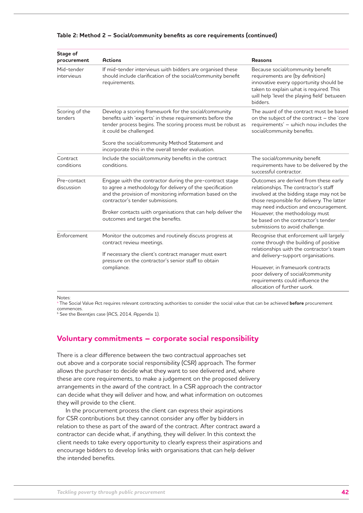| Stage of<br>procurement   | <b>Actions</b>                                                                                                                                                                                                                                                                                                            | <b>Reasons</b>                                                                                                                                                                                                                                                                                                               |
|---------------------------|---------------------------------------------------------------------------------------------------------------------------------------------------------------------------------------------------------------------------------------------------------------------------------------------------------------------------|------------------------------------------------------------------------------------------------------------------------------------------------------------------------------------------------------------------------------------------------------------------------------------------------------------------------------|
| Mid-tender<br>interviews  | If mid-tender interviews with bidders are organised these<br>should include clarification of the social/community benefit<br>requirements.                                                                                                                                                                                | Because social/community benefit<br>requirements are (by definition)<br>innovative every opportunity should be<br>taken to explain what is required. This<br>will help 'level the playing field' between<br>bidders.                                                                                                         |
| Scoring of the<br>tenders | Develop a scoring framework for the social/community<br>benefits with 'experts' in these requirements before the<br>tender process begins. The scoring process must be robust as<br>it could be challenged.<br>Score the social/community Method Statement and<br>incorporate this in the overall tender evaluation.      | The award of the contract must be based<br>on the subject of the contract - the 'core<br>requirements' - which now includes the<br>social/community benefits.                                                                                                                                                                |
| Contract<br>conditions    | Include the social/community benefits in the contract<br>conditions.                                                                                                                                                                                                                                                      | The social/community benefit<br>requirements have to be delivered by the<br>successful contractor.                                                                                                                                                                                                                           |
| Pre-contact<br>discussion | Engage with the contractor during the pre-contract stage<br>to agree a methodology for delivery of the specification<br>and the provision of monitoring information based on the<br>contractor's tender submissions.<br>Broker contacts with organisations that can help deliver the<br>outcomes and target the benefits. | Outcomes are derived from these early<br>relationships. The contractor's staff<br>involved at the bidding stage may not be<br>those responsible for delivery. The latter<br>may need induction and encouragement.<br>However, the methodology must<br>be based on the contractor's tender<br>submissions to avoid challenge. |
| <b>Enforcement</b>        | Monitor the outcomes and routinely discuss progress at<br>contract review meetings.<br>If necessary the client's contract manager must exert<br>pressure on the contractor's senior staff to obtain<br>compliance.                                                                                                        | Recognise that enforcement will largely<br>come through the building of positive<br>relationships with the contractor's team<br>and delivery-support organisations.<br>However, in framework contracts<br>poor delivery of social/community<br>requirements could influence the<br>allocation of further work.               |

#### **Table 2: Method 2 – Social/community benefits as core requirements (continued)**

Notes:

<sup>a</sup> The Social Value Act requires relevant contracting authorities to consider the social value that can be achieved **before** procurement commences.

 $^{\rm b}$  See the Beentjes case (ACS, 2014, Appendix 1).

# **Voluntary commitments – corporate social responsibility**

There is a clear difference between the two contractual approaches set out above and a corporate social responsibility (CSR) approach. The former allows the purchaser to decide what they want to see delivered and, where these are core requirements, to make a judgement on the proposed delivery arrangements in the award of the contract. In a CSR approach the contractor can decide what they will deliver and how, and what information on outcomes they will provide to the client.

In the procurement process the client can express their aspirations for CSR contributions but they cannot consider any offer by bidders in relation to these as part of the award of the contract. After contract award a contractor can decide what, if anything, they will deliver. In this context the client needs to take every opportunity to clearly express their aspirations and encourage bidders to develop links with organisations that can help deliver the intended benefits.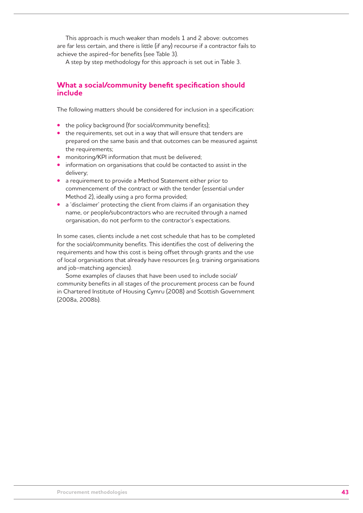This approach is much weaker than models 1 and 2 above: outcomes are far less certain, and there is little (if any) recourse if a contractor fails to achieve the aspired-for benefits (see Table 3).

A step by step methodology for this approach is set out in Table 3.

# **What a social/community benefit specification should include**

The following matters should be considered for inclusion in a specification:

- the policy background (for social/community benefits);
- the requirements, set out in a way that will ensure that tenders are prepared on the same basis and that outcomes can be measured against the requirements;
- **•** monitoring/KPI information that must be delivered;
- information on organisations that could be contacted to assist in the delivery;
- **•**  a requirement to provide a Method Statement either prior to commencement of the contract or with the tender (essential under Method 2), ideally using a pro forma provided;
- a 'disclaimer' protecting the client from claims if an organisation they name, or people/subcontractors who are recruited through a named organisation, do not perform to the contractor's expectations.

In some cases, clients include a net cost schedule that has to be completed for the social/community benefits. This identifies the cost of delivering the requirements and how this cost is being offset through grants and the use of local organisations that already have resources (e.g. training organisations and job-matching agencies).

Some examples of clauses that have been used to include social/ community benefits in all stages of the procurement process can be found in Chartered Institute of Housing Cymru (2008) and Scottish Government (2008a, 2008b).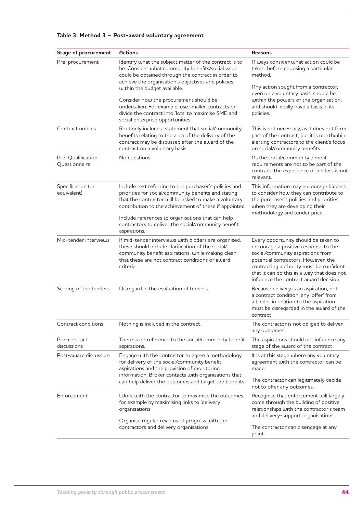| <b>Stage of procurement</b>        | <b>Actions</b>                                                                                                                                                                                                                                                     | <b>Reasons</b>                                                                                                                                                                                                                                                                              |  |
|------------------------------------|--------------------------------------------------------------------------------------------------------------------------------------------------------------------------------------------------------------------------------------------------------------------|---------------------------------------------------------------------------------------------------------------------------------------------------------------------------------------------------------------------------------------------------------------------------------------------|--|
| Pre-procurement                    | Identify what the subject matter of the contract is to<br>be. Consider what community benefits/social value<br>could be obtained through the contract in order to<br>achieve the organisation's objectives and policies,<br>within the budget available.           | Always consider what action could be<br>taken, before choosing a particular<br>method.<br>Any action sought from a contractor,                                                                                                                                                              |  |
|                                    | Consider how the procurement should be<br>undertaken. For example, use smaller contracts or<br>divide the contract into 'lots' to maximise SME and<br>social enterprise opportunities.                                                                             | even on a voluntary basis, should be<br>within the powers of the organisation,<br>and should ideally have a basis in its<br>policies.                                                                                                                                                       |  |
| Contract notices                   | Routinely include a statement that social/community<br>benefits relating to the area of the delivery of the<br>contract may be discussed after the award of the<br>contract on a voluntary basis.                                                                  | This is not necessary, as it does not form<br>part of the contract, but it is worthwhile<br>alerting contractors to the client's focus<br>on social/community benefits.                                                                                                                     |  |
| Pre-Qualification<br>Questionnaire | No questions.                                                                                                                                                                                                                                                      | As the social/community benefit<br>requirements are not to be part of the<br>contract, the experience of bidders is not<br>relevant.                                                                                                                                                        |  |
| Specification (or<br>equivalent)   | Include text referring to the purchaser's policies and<br>priorities for social/community benefits and stating<br>that the contractor will be asked to make a voluntary<br>contribution to the achievement of these if appointed.                                  | This information may encourage bidders<br>to consider how they can contribute to<br>the purchaser's policies and priorities<br>when they are developing their<br>methodology and tender price.                                                                                              |  |
|                                    | Include references to organisations that can help<br>contractors to deliver the social/community benefit<br>aspirations.                                                                                                                                           |                                                                                                                                                                                                                                                                                             |  |
| Mid-tender interviews              | If mid-tender interviews with bidders are organised,<br>these should include clarification of the social/<br>community benefit aspirations, while making clear<br>that these are not contract conditions or award<br>criteria.                                     | Every opportunity should be taken to<br>encourage a positive response to the<br>social/community aspirations from<br>potential contractors. However, the<br>contracting authority must be confident<br>that it can do this in a way that does not<br>influence the contract award decision. |  |
| Scoring of the tenders             | Disregard in the evaluation of tenders.                                                                                                                                                                                                                            | Because delivery is an aspiration, not<br>a contract condition, any 'offer' from<br>a bidder in relation to the aspiration<br>must be disregarded in the award of the<br>contract.                                                                                                          |  |
| Contract conditions                | Nothing is included in the contract.                                                                                                                                                                                                                               | The contractor is not obliged to deliver<br>any outcomes.                                                                                                                                                                                                                                   |  |
| Pre-contract<br>discussions        | There is no reference to the social/community benefit<br>aspirations.                                                                                                                                                                                              | The aspirations should not influence any<br>stage of the award of the contract.                                                                                                                                                                                                             |  |
| Post-award discussion              | Engage with the contractor to agree a methodology<br>for delivery of the social/community benefit<br>aspirations and the provision of monitoring<br>information. Broker contacts with organisations that<br>can help deliver the outcomes and target the benefits. | It is at this stage where any voluntary<br>agreement with the contractor can be<br>made.<br>The contractor can legitimately decide<br>not to offer any outcomes.                                                                                                                            |  |
| Enforcement                        | Work with the contractor to maximise the outcomes,<br>for example by maximising links to 'delivery<br>organisations'.<br>Organise regular reviews of progress with the                                                                                             | Recognise that enforcement will largely<br>come through the building of positive<br>relationships with the contractor's team<br>and delivery-support organisations.                                                                                                                         |  |
|                                    | contractors and delivery organisations.                                                                                                                                                                                                                            | The contractor can disengage at any<br>point.                                                                                                                                                                                                                                               |  |

# **Table 3: Method 3 – Post-award voluntary agreement**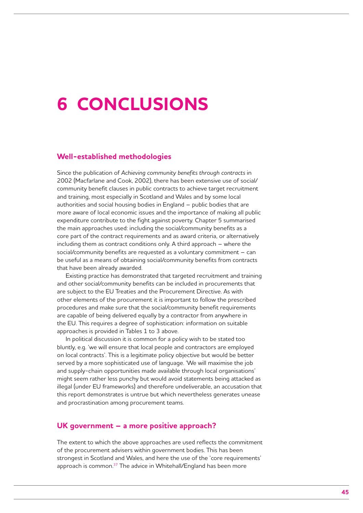# **6 Conclusions**

## **Well-established methodologies**

Since the publication of *Achieving community benefits through contracts* in 2002 (Macfarlane and Cook, 2002), there has been extensive use of social/ community benefit clauses in public contracts to achieve target recruitment and training, most especially in Scotland and Wales and by some local authorities and social housing bodies in England – public bodies that are more aware of local economic issues and the importance of making all public expenditure contribute to the fight against poverty. Chapter 5 summarised the main approaches used: including the social/community benefits as a core part of the contract requirements and as award criteria, or alternatively including them as contract conditions only. A third approach – where the social/community benefits are requested as a voluntary commitment – can be useful as a means of obtaining social/community benefits from contracts that have been already awarded.

Existing practice has demonstrated that targeted recruitment and training and other social/community benefits can be included in procurements that are subject to the EU Treaties and the Procurement Directive. As with other elements of the procurement it is important to follow the prescribed procedures and make sure that the social/community benefit requirements are capable of being delivered equally by a contractor from anywhere in the EU. This requires a degree of sophistication: information on suitable approaches is provided in Tables 1 to 3 above.

In political discussion it is common for a policy wish to be stated too bluntly, e.g. 'we will ensure that local people and contractors are employed on local contracts'. This is a legitimate policy objective but would be better served by a more sophisticated use of language. 'We will maximise the job and supply-chain opportunities made available through local organisations' might seem rather less punchy but would avoid statements being attacked as illegal (under EU frameworks) and therefore undeliverable, an accusation that this report demonstrates is untrue but which nevertheless generates unease and procrastination among procurement teams.

### **UK government – a more positive approach?**

The extent to which the above approaches are used reflects the commitment of the procurement advisers within government bodies. This has been strongest in Scotland and Wales, and here the use of the 'core requirements' approach is common.<sup>37</sup> The advice in Whitehall/England has been more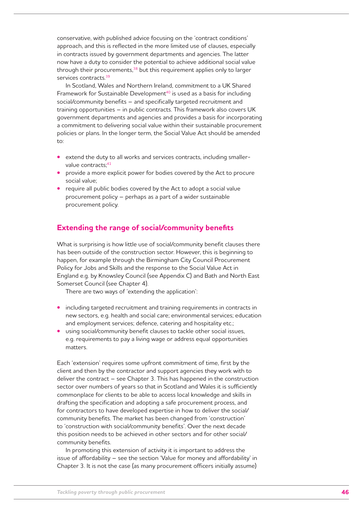conservative, with published advice focusing on the 'contract conditions' approach, and this is reflected in the more limited use of clauses, especially in contracts issued by government departments and agencies. The latter now have a duty to consider the potential to achieve additional social value through their procurements,<sup>38</sup> but this requirement applies only to larger services contracts.39

In Scotland, Wales and Northern Ireland, commitment to a UK Shared Framework for Sustainable Development<sup>40</sup> is used as a basis for including social/community benefits – and specifically targeted recruitment and training opportunities – in public contracts. This framework also covers UK government departments and agencies and provides a basis for incorporating a commitment to delivering social value within their sustainable procurement policies or plans. In the longer term, the Social Value Act should be amended to:

- extend the duty to all works and services contracts, including smallervalue contracts: 41
- provide a more explicit power for bodies covered by the Act to procure social value;
- require all public bodies covered by the Act to adopt a social value procurement policy – perhaps as a part of a wider sustainable procurement policy.

# **Extending the range of social/community benefits**

What is surprising is how little use of social/community benefit clauses there has been outside of the construction sector. However, this is beginning to happen, for example through the Birmingham City Council Procurement Policy for Jobs and Skills and the response to the Social Value Act in England e.g. by Knowsley Council (see Appendix C) and Bath and North East Somerset Council (see Chapter 4).

There are two ways of 'extending the application':

- **•** including targeted recruitment and training requirements in contracts in new sectors, e.g. health and social care; environmental services; education and employment services; defence, catering and hospitality etc.;
- **•** using social/community benefit clauses to tackle other social issues, e.g. requirements to pay a living wage or address equal opportunities matters.

Each 'extension' requires some upfront commitment of time, first by the client and then by the contractor and support agencies they work with to deliver the contract – see Chapter 3. This has happened in the construction sector over numbers of years so that in Scotland and Wales it is sufficiently commonplace for clients to be able to access local knowledge and skills in drafting the specification and adopting a safe procurement process, and for contractors to have developed expertise in how to deliver the social/ community benefits. The market has been changed from 'construction' to 'construction with social/community benefits'. Over the next decade this position needs to be achieved in other sectors and for other social/ community benefits.

In promoting this extension of activity it is important to address the issue of affordability – see the section 'Value for money and affordability' in Chapter 3. It is not the case (as many procurement officers initially assume)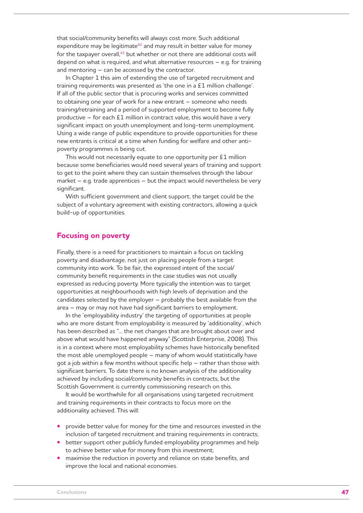that social/community benefits will always cost more. Such additional expenditure may be legitimate<sup>42</sup> and may result in better value for money for the taxpayer overall, $43$  but whether or not there are additional costs will depend on what is required, and what alternative resources – e.g. for training and mentoring – can be accessed by the contractor.

In Chapter 1 this aim of extending the use of targeted recruitment and training requirements was presented as 'the one in a £1 million challenge'. If all of the public sector that is procuring works and services committed to obtaining one year of work for a new entrant – someone who needs training/retraining and a period of supported employment to become fully productive – for each £1 million in contract value, this would have a very significant impact on youth unemployment and long-term unemployment. Using a wide range of public expenditure to provide opportunities for these new entrants is critical at a time when funding for welfare and other antipoverty programmes is being cut.

This would not necessarily equate to one opportunity per £1 million because some beneficiaries would need several years of training and support to get to the point where they can sustain themselves through the labour market  $-$  e.g. trade apprentices  $-$  but the impact would nevertheless be very significant.

With sufficient government and client support, the target could be the subject of a voluntary agreement with existing contractors, allowing a quick build-up of opportunities.

### **Focusing on poverty**

Finally, there is a need for practitioners to maintain a focus on tackling poverty and disadvantage, not just on placing people from a target community into work. To be fair, the expressed intent of the social/ community benefit requirements in the case studies was not usually expressed as reducing poverty. More typically the intention was to target opportunities at neighbourhoods with high levels of deprivation and the candidates selected by the employer – probably the best available from the area – may or may not have had significant barriers to employment.

In the 'employability industry' the targeting of opportunities at people who are more distant from employability is measured by 'additionality', which has been described as "... the net changes that are brought about over and above what would have happened anyway" (Scottish Enterprise, 2008). This is in a context where most employability schemes have historically benefited the most able unemployed people – many of whom would statistically have got a job within a few months without specific help – rather than those with significant barriers. To date there is no known analysis of the additionality achieved by including social/community benefits in contracts, but the Scottish Government is currently commissioning research on this.

It would be worthwhile for all organisations using targeted recruitment and training requirements in their contracts to focus more on the additionality achieved. This will:

- **•** provide better value for money for the time and resources invested in the inclusion of targeted recruitment and training requirements in contracts;
- better support other publicly funded employability programmes and help to achieve better value for money from this investment;
- maximise the reduction in poverty and reliance on state benefits, and improve the local and national economies.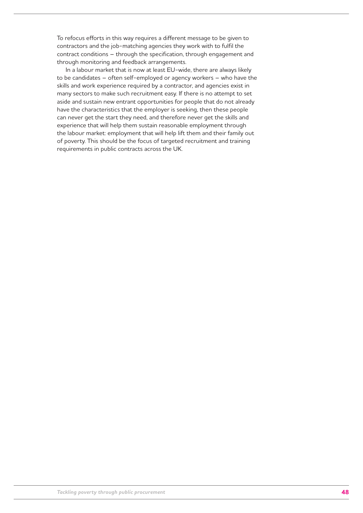To refocus efforts in this way requires a different message to be given to contractors and the job-matching agencies they work with to fulfil the contract conditions – through the specification, through engagement and through monitoring and feedback arrangements.

In a labour market that is now at least EU-wide, there are always likely to be candidates – often self-employed or agency workers – who have the skills and work experience required by a contractor, and agencies exist in many sectors to make such recruitment easy. If there is no attempt to set aside and sustain new entrant opportunities for people that do not already have the characteristics that the employer is seeking, then these people can never get the start they need, and therefore never get the skills and experience that will help them sustain reasonable employment through the labour market: employment that will help lift them and their family out of poverty. This should be the focus of targeted recruitment and training requirements in public contracts across the UK.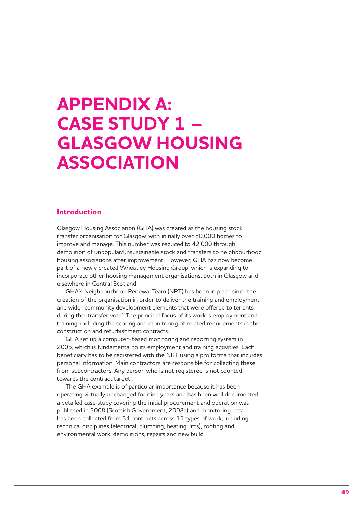# **Appendix A: Case study 1 – Glasgow Housing Association**

### **Introduction**

Glasgow Housing Association (GHA) was created as the housing stock transfer organisation for Glasgow, with initially over 80,000 homes to improve and manage. This number was reduced to 42,000 through demolition of unpopular/unsustainable stock and transfers to neighbourhood housing associations after improvement. However, GHA has now become part of a newly created Wheatley Housing Group, which is expanding to incorporate other housing management organisations, both in Glasgow and elsewhere in Central Scotland.

GHA's Neighbourhood Renewal Team (NRT) has been in place since the creation of the organisation in order to deliver the training and employment and wider community development elements that were offered to tenants during the 'transfer vote'. The principal focus of its work is employment and training, including the scoring and monitoring of related requirements in the construction and refurbishment contracts.

GHA set up a computer-based monitoring and reporting system in 2005, which is fundamental to its employment and training activities. Each beneficiary has to be registered with the NRT using a pro forma that includes personal information. Main contractors are responsible for collecting these from subcontractors. Any person who is not registered is not counted towards the contract target.

The GHA example is of particular importance because it has been operating virtually unchanged for nine years and has been well documented: a detailed case study covering the initial procurement and operation was published in 2008 (Scottish Government, 2008a) and monitoring data has been collected from 34 contracts across 15 types of work, including technical disciplines (electrical, plumbing, heating, lifts), roofing and environmental work, demolitions, repairs and new build.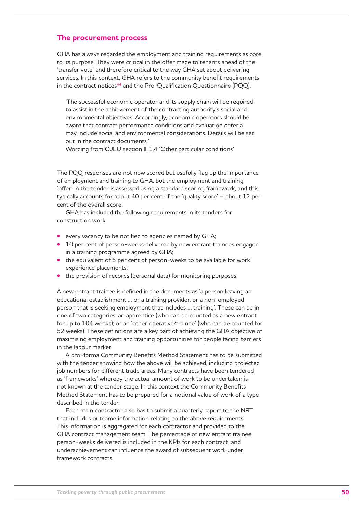## **The procurement process**

GHA has always regarded the employment and training requirements as core to its purpose. They were critical in the offer made to tenants ahead of the 'transfer vote' and therefore critical to the way GHA set about delivering services. In this context, GHA refers to the community benefit requirements in the contract notices<sup>44</sup> and the Pre-Qualification Questionnaire (PQQ).

'The successful economic operator and its supply chain will be required to assist in the achievement of the contracting authority's social and environmental objectives. Accordingly, economic operators should be aware that contract performance conditions and evaluation criteria may include social and environmental considerations. Details will be set out in the contract documents.'

Wording from OJEU section lll.1.4 'Other particular conditions'

The PQQ responses are not now scored but usefully flag up the importance of employment and training to GHA, but the employment and training 'offer' in the tender is assessed using a standard scoring framework, and this typically accounts for about 40 per cent of the 'quality score' – about 12 per cent of the overall score.

GHA has included the following requirements in its tenders for construction work:

- **•**  every vacancy to be notified to agencies named by GHA;
- 10 per cent of person-weeks delivered by new entrant trainees engaged in a training programme agreed by GHA;
- the equivalent of 5 per cent of person-weeks to be available for work experience placements;
- the provision of records (personal data) for monitoring purposes.

A new entrant trainee is defined in the documents as 'a person leaving an educational establishment … or a training provider, or a non-employed person that is seeking employment that includes … training'. These can be in one of two categories: an apprentice (who can be counted as a new entrant for up to 104 weeks); or an 'other operative/trainee' (who can be counted for 52 weeks). These definitions are a key part of achieving the GHA objective of maximising employment and training opportunities for people facing barriers in the labour market.

A pro-forma Community Benefits Method Statement has to be submitted with the tender showing how the above will be achieved, including projected job numbers for different trade areas. Many contracts have been tendered as 'frameworks' whereby the actual amount of work to be undertaken is not known at the tender stage. In this context the Community Benefits Method Statement has to be prepared for a notional value of work of a type described in the tender.

Each main contractor also has to submit a quarterly report to the NRT that includes outcome information relating to the above requirements. This information is aggregated for each contractor and provided to the GHA contract management team. The percentage of new entrant trainee person-weeks delivered is included in the KPIs for each contract, and underachievement can influence the award of subsequent work under framework contracts.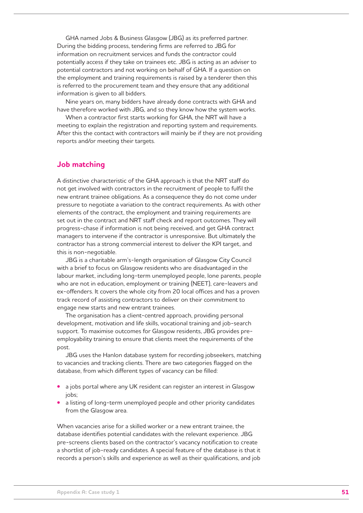GHA named Jobs & Business Glasgow (JBG) as its preferred partner. During the bidding process, tendering firms are referred to JBG for information on recruitment services and funds the contractor could potentially access if they take on trainees etc. JBG is acting as an adviser to potential contractors and not working on behalf of GHA. If a question on the employment and training requirements is raised by a tenderer then this is referred to the procurement team and they ensure that any additional information is given to all bidders.

Nine years on, many bidders have already done contracts with GHA and have therefore worked with JBG, and so they know how the system works.

When a contractor first starts working for GHA, the NRT will have a meeting to explain the registration and reporting system and requirements. After this the contact with contractors will mainly be if they are not providing reports and/or meeting their targets.

### **Job matching**

A distinctive characteristic of the GHA approach is that the NRT staff do not get involved with contractors in the recruitment of people to fulfil the new entrant trainee obligations. As a consequence they do not come under pressure to negotiate a variation to the contract requirements. As with other elements of the contract, the employment and training requirements are set out in the contract and NRT staff check and report outcomes. They will progress-chase if information is not being received, and get GHA contract managers to intervene if the contractor is unresponsive. But ultimately the contractor has a strong commercial interest to deliver the KPI target, and this is non-negotiable.

JBG is a charitable arm's-length organisation of Glasgow City Council with a brief to focus on Glasgow residents who are disadvantaged in the labour market, including long-term unemployed people, lone parents, people who are not in education, employment or training (NEET), care-leavers and ex-offenders. It covers the whole city from 20 local offices and has a proven track record of assisting contractors to deliver on their commitment to engage new starts and new entrant trainees.

The organisation has a client-centred approach, providing personal development, motivation and life skills, vocational training and job-search support. To maximise outcomes for Glasgow residents, JBG provides preemployability training to ensure that clients meet the requirements of the post.

JBG uses the Hanlon database system for recording jobseekers, matching to vacancies and tracking clients. There are two categories flagged on the database, from which different types of vacancy can be filled:

- **•** a jobs portal where any UK resident can register an interest in Glasgow jobs;
- a listing of long-term unemployed people and other priority candidates from the Glasgow area.

When vacancies arise for a skilled worker or a new entrant trainee, the database identifies potential candidates with the relevant experience. JBG pre-screens clients based on the contractor's vacancy notification to create a shortlist of job-ready candidates. A special feature of the database is that it records a person's skills and experience as well as their qualifications, and job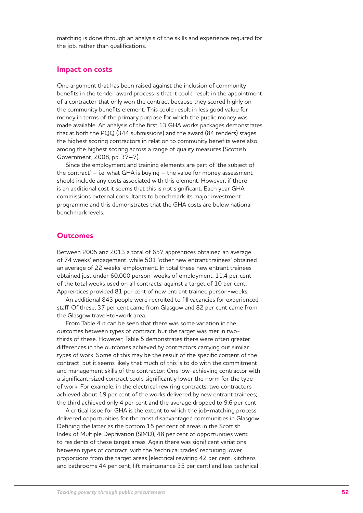matching is done through an analysis of the skills and experience required for the job, rather than qualifications.

### **Impact on costs**

One argument that has been raised against the inclusion of community benefits in the tender award process is that it could result in the appointment of a contractor that only won the contract because they scored highly on the community benefits element. This could result in less good value for money in terms of the primary purpose for which the public money was made available. An analysis of the first 13 GHA works packages demonstrates that at both the PQQ (344 submissions) and the award (84 tenders) stages the highest scoring contractors in relation to community benefits were also among the highest scoring across a range of quality measures (Scottish Government, 2008, pp. 37–7).

Since the employment and training elements are part of 'the subject of the contract' – i.e. what GHA is buying – the value for money assessment should include any costs associated with this element. However, if there is an additional cost it seems that this is not significant. Each year GHA commissions external consultants to benchmark its major investment programme and this demonstrates that the GHA costs are below national benchmark levels.

### **Outcomes**

Between 2005 and 2013 a total of 657 apprentices obtained an average of 74 weeks' engagement, while 501 'other new entrant trainees' obtained an average of 22 weeks' employment. In total these new entrant trainees obtained just under 60,000 person-weeks of employment: 11.4 per cent of the total weeks used on all contracts, against a target of 10 per cent. Apprentices provided 81 per cent of new entrant trainee person-weeks.

An additional 843 people were recruited to fill vacancies for experienced staff. Of these, 37 per cent came from Glasgow and 82 per cent came from the Glasgow travel-to-work area.

From Table 4 it can be seen that there was some variation in the outcomes between types of contract, but the target was met in twothirds of these. However, Table 5 demonstrates there were often greater differences in the outcomes achieved by contractors carrying out similar types of work. Some of this may be the result of the specific content of the contract, but it seems likely that much of this is to do with the commitment and management skills of the contractor. One low-achieving contractor with a significant-sized contract could significantly lower the norm for the type of work. For example, in the electrical rewiring contracts, two contractors achieved about 19 per cent of the works delivered by new entrant trainees; the third achieved only 4 per cent and the average dropped to 9.6 per cent.

A critical issue for GHA is the extent to which the job-matching process delivered opportunities for the most disadvantaged communities in Glasgow. Defining the latter as the bottom 15 per cent of areas in the Scottish Index of Multiple Deprivation (SIMD), 48 per cent of opportunities went to residents of these target areas. Again there was significant variations between types of contract, with the 'technical trades' recruiting lower proportions from the target areas (electrical rewiring 42 per cent, kitchens and bathrooms 44 per cent, lift maintenance 35 per cent) and less technical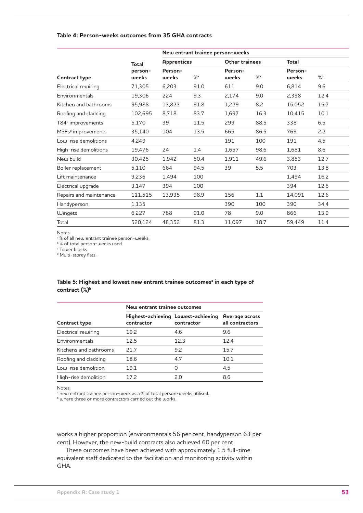### **Table 4: Person-weeks outcomes from 35 GHA contracts**

|                                |                  | New entrant trainee person-weeks |                   |                       |                   |                  |      |
|--------------------------------|------------------|----------------------------------|-------------------|-----------------------|-------------------|------------------|------|
|                                | Total            | <b>Apprentices</b>               |                   | <b>Other trainees</b> |                   | <b>Total</b>     |      |
| <b>Contract type</b>           | person-<br>weeks | Person-<br>weeks                 | $\%$ <sup>a</sup> | Person-<br>weeks      | $\%$ <sup>a</sup> | Person-<br>weeks | %    |
| Electrical rewiring            | 71,305           | 6,203                            | 91.0              | 611                   | 9.0               | 6,814            | 9.6  |
| Environmentals                 | 19,306           | 224                              | 9.3               | 2,174                 | 9.0               | 2,398            | 12.4 |
| Kitchen and bathrooms          | 95,988           | 13,823                           | 91.8              | 1,229                 | 8.2               | 15,052           | 15.7 |
| Roofing and cladding           | 102,695          | 8,718                            | 83.7              | 1,697                 | 16.3              | 10,415           | 10.1 |
| $T84c$ improvements            | 5,170            | 39                               | 11.5              | 299                   | 88.5              | 338              | 6.5  |
| MSFs <sup>d</sup> improvements | 35,140           | 104                              | 13.5              | 665                   | 86.5              | 769              | 2.2  |
| Low-rise demolitions           | 4,249            |                                  |                   | 191                   | 100               | 191              | 4.5  |
| High-rise demolitions          | 19,476           | 24                               | 1.4               | 1,657                 | 98.6              | 1,681            | 8.6  |
| New build                      | 30,425           | 1,942                            | 50.4              | 1,911                 | 49.6              | 3,853            | 12.7 |
| Boiler replacement             | 5,110            | 664                              | 94.5              | 39                    | 5.5               | 703              | 13.8 |
| Lift maintenance               | 9,236            | 1,494                            | 100               |                       |                   | 1,494            | 16.2 |
| Electrical upgrade             | 3,147            | 394                              | 100               |                       |                   | 394              | 12.5 |
| Repairs and maintenance        | 111,515          | 13,935                           | 98.9              | 156                   | 1.1               | 14,091           | 12.6 |
| Handyperson                    | 1,135            |                                  |                   | 390                   | 100               | 390              | 34.4 |
| Wingets                        | 6,227            | 788                              | 91.0              | 78                    | 9.0               | 866              | 13.9 |
| Total                          | 520,124          | 48,352                           | 81.3              | 11,097                | 18.7              | 59,449           | 11.4 |

Notes:

<sup>a %</sup> of all new entrant trainee person-weeks.

**b**% of total person-weeks used.

c Tower blocks.

<sup>d</sup> Multi-storey flats.

### Table 5: Highest and lowest new entrant trainee outcomes<sup>a</sup> in each type of contract (%)<sup>b</sup>

|                        | New entrant trainee outcomes |                                                  |                                   |  |  |
|------------------------|------------------------------|--------------------------------------------------|-----------------------------------|--|--|
| <b>Contract type</b>   | contractor                   | Highest-achieving Lowest-achieving<br>contractor | Average across<br>all contractors |  |  |
| Electrical rewiring    | 19.2                         | 4.6                                              | 9.6                               |  |  |
| Environmentals         | 12.5                         | 12.3                                             | 12.4                              |  |  |
| Kitchens and bathrooms | 217                          | 9.2                                              | 15.7                              |  |  |
| Roofing and cladding   | 18.6                         | 4.7                                              | 10.1                              |  |  |
| Low-rise demolition    | 19.1                         | Ω                                                | 4.5                               |  |  |
| High-rise demolition   | 172                          | 2.0                                              | 8.6                               |  |  |

Notes:

<sup>a</sup> new entrant trainee person-week as a % of total person-weeks utilised.

**b** where three or more contractors carried out the works.

works a higher proportion (environmentals 56 per cent, handyperson 63 per cent). However, the new-build contracts also achieved 60 per cent.

These outcomes have been achieved with approximately 1.5 full-time equivalent staff dedicated to the facilitation and monitoring activity within GHA.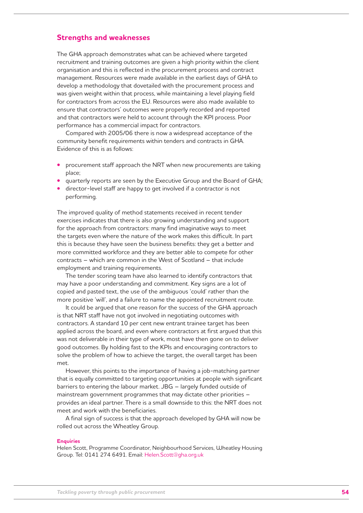### **Strengths and weaknesses**

The GHA approach demonstrates what can be achieved where targeted recruitment and training outcomes are given a high priority within the client organisation and this is reflected in the procurement process and contract management. Resources were made available in the earliest days of GHA to develop a methodology that dovetailed with the procurement process and was given weight within that process, while maintaining a level playing field for contractors from across the EU. Resources were also made available to ensure that contractors' outcomes were properly recorded and reported and that contractors were held to account through the KPI process. Poor performance has a commercial impact for contractors.

Compared with 2005/06 there is now a widespread acceptance of the community benefit requirements within tenders and contracts in GHA. Evidence of this is as follows:

- **Procurement staff approach the NRT when new procurements are taking** place;
- guarterly reports are seen by the Executive Group and the Board of GHA;
- director-level staff are happy to get involved if a contractor is not performing.

The improved quality of method statements received in recent tender exercises indicates that there is also growing understanding and support for the approach from contractors: many find imaginative ways to meet the targets even where the nature of the work makes this difficult. In part this is because they have seen the business benefits: they get a better and more committed workforce and they are better able to compete for other contracts – which are common in the West of Scotland – that include employment and training requirements.

The tender scoring team have also learned to identify contractors that may have a poor understanding and commitment. Key signs are a lot of copied and pasted text, the use of the ambiguous 'could' rather than the more positive 'will', and a failure to name the appointed recruitment route.

It could be argued that one reason for the success of the GHA approach is that NRT staff have not got involved in negotiating outcomes with contractors. A standard 10 per cent new entrant trainee target has been applied across the board, and even where contractors at first argued that this was not deliverable in their type of work, most have then gone on to deliver good outcomes. By holding fast to the KPIs and encouraging contractors to solve the problem of how to achieve the target, the overall target has been met.

However, this points to the importance of having a job-matching partner that is equally committed to targeting opportunities at people with significant barriers to entering the labour market. JBG – largely funded outside of mainstream government programmes that may dictate other priorities – provides an ideal partner. There is a small downside to this: the NRT does not meet and work with the beneficiaries.

A final sign of success is that the approach developed by GHA will now be rolled out across the Wheatley Group.

#### **Enquiries**

Helen Scott, Programme Coordinator, Neighbourhood Services, Wheatley Housing Group. Tel: 0141 274 6491. Email: Helen.Scott@gha.org.uk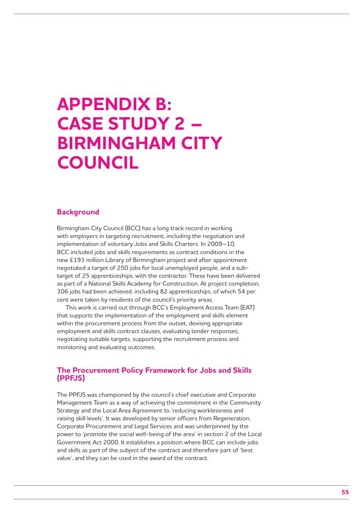# **Appendix B: Case study 2 – Birmingham City Council**

## **Background**

Birmingham City Council (BCC) has a long track record in working with employers in targeting recruitment, including the negotiation and implementation of voluntary Jobs and Skills Charters. In 2009–10, BCC included jobs and skills requirements as contract conditions in the new £193 million Library of Birmingham project and after appointment negotiated a target of 250 jobs for local unemployed people, and a subtarget of 25 apprenticeships, with the contractor. These have been delivered as part of a National Skills Academy for Construction. At project completion, 306 jobs had been achieved, including 82 apprenticeships, of which 54 per cent were taken by residents of the council's priority areas.

This work is carried out through BCC's Employment Access Team (EAT) that supports the implementation of the employment and skills element within the procurement process from the outset, devising appropriate employment and skills contract clauses, evaluating tender responses, negotiating suitable targets, supporting the recruitment process and monitoring and evaluating outcomes.

## **The Procurement Policy Framework for Jobs and Skills (PPFJS)**

The PPFJS was championed by the council's chief executive and Corporate Management Team as a way of achieving the commitment in the Community Strategy and the Local Area Agreement to 'reducing worklessness and raising skill levels'. It was developed by senior officers from Regeneration, Corporate Procurement and Legal Services and was underpinned by the power to 'promote the social well-being of the area' in section 2 of the Local Government Act 2000. It establishes a position where BCC can include jobs and skills as part of the subject of the contract and therefore part of 'best value', and they can be used in the award of the contract.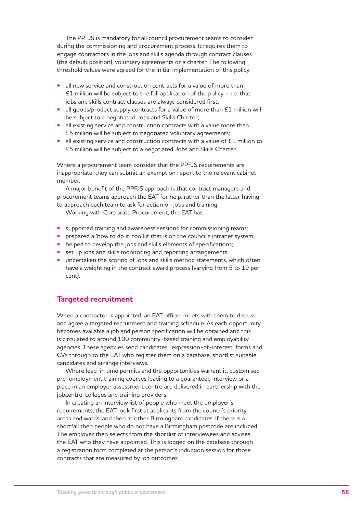The PPFJS is mandatory for all council procurement teams to consider during the commissioning and procurement process. It requires them to engage contractors in the jobs and skills agenda through contract clauses (the default position), voluntary agreements or a charter. The following threshold values were agreed for the initial implementation of this policy:

- all new service and construction contracts for a value of more than £1 million will be subject to the full application of the policy  $-$  i.e. that jobs and skills contract clauses are always considered first;
- all goods/product supply contracts for a value of more than £1 million will be subject to a negotiated Jobs and Skills Charter;
- all existing service and construction contracts with a value more than £5 million will be subject to negotiated voluntary agreements;
- all existing service and construction contracts with a value of £1 million to £5 million will be subject to a negotiated Jobs and Skills Charter.

Where a procurement team consider that the PPFJS requirements are inappropriate, they can submit an exemption report to the relevant cabinet member.

A major benefit of the PPFJS approach is that contract managers and procurement teams approach the EAT for help, rather than the latter having to approach each team to ask for action on jobs and training.

Working with Corporate Procurement, the EAT has:

- supported training and awareness sessions for commissioning teams;
- **•** prepared a 'how to do it' toolkit that is on the council's intranet system;
- helped to develop the jobs and skills elements of specifications;
- **•** set up jobs and skills monitoring and reporting arrangements;
- undertaken the scoring of jobs and skills method statements, which often have a weighting in the contract award process (varying from 5 to 19 per cent).

# **Targeted recruitment**

When a contractor is appointed, an EAT officer meets with them to discuss and agree a targeted recruitment and training schedule. As each opportunity becomes available a job and person specification will be obtained and this is circulated to around 100 community-based training and employability agencies. These agencies send candidates' 'expression-of-interest' forms and CVs through to the EAT who register them on a database, shortlist suitable candidates and arrange interviews.

Where lead-in time permits and the opportunities warrant it, customised pre-employment training courses leading to a guaranteed interview or a place in an employer assessment centre are delivered in partnership with the jobcentre, colleges and training providers.

In creating an interview list of people who meet the employer's requirements, the EAT look first at applicants from the council's priority areas and wards, and then at other Birmingham candidates. If there is a shortfall then people who do not have a Birmingham postcode are included. The employer then selects from the shortlist of interviewees and advises the EAT who they have appointed. This is logged on the database through a registration form completed at the person's induction session for those contracts that are measured by job outcomes.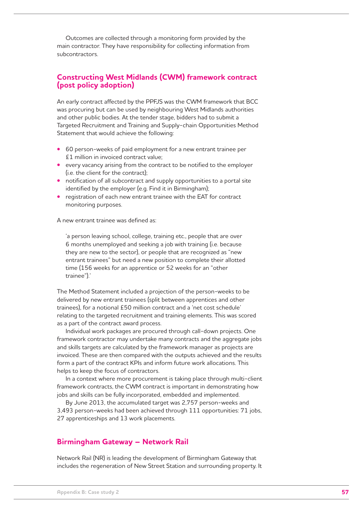Outcomes are collected through a monitoring form provided by the main contractor. They have responsibility for collecting information from subcontractors.

# **Constructing West Midlands (CWM) framework contract (post policy adoption)**

An early contract affected by the PPFJS was the CWM framework that BCC was procuring but can be used by neighbouring West Midlands authorities and other public bodies. At the tender stage, bidders had to submit a Targeted Recruitment and Training and Supply-chain Opportunities Method Statement that would achieve the following:

- 60 person-weeks of paid employment for a new entrant trainee per £1 million in invoiced contract value;
- **•**  every vacancy arising from the contract to be notified to the employer (i.e. the client for the contract);
- notification of all subcontract and supply opportunities to a portal site identified by the employer (e.g. Find it in Birmingham);
- registration of each new entrant trainee with the EAT for contract monitoring purposes.

A new entrant trainee was defined as:

'a person leaving school, college, training etc., people that are over 6 months unemployed and seeking a job with training (i.e. because they are new to the sector), or people that are recognized as "new entrant trainees" but need a new position to complete their allotted time (156 weeks for an apprentice or 52 weeks for an "other trainee").'

The Method Statement included a projection of the person-weeks to be delivered by new entrant trainees (split between apprentices and other trainees), for a notional £50 million contract and a 'net cost schedule' relating to the targeted recruitment and training elements. This was scored as a part of the contract award process.

Individual work packages are procured through call-down projects. One framework contractor may undertake many contracts and the aggregate jobs and skills targets are calculated by the framework manager as projects are invoiced. These are then compared with the outputs achieved and the results form a part of the contract KPIs and inform future work allocations. This helps to keep the focus of contractors.

In a context where more procurement is taking place through multi-client framework contracts, the CWM contract is important in demonstrating how jobs and skills can be fully incorporated, embedded and implemented.

By June 2013, the accumulated target was 2,757 person-weeks and 3,493 person-weeks had been achieved through 111 opportunities: 71 jobs, 27 apprenticeships and 13 work placements.

# **Birmingham Gateway – Network Rail**

Network Rail (NR) is leading the development of Birmingham Gateway that includes the regeneration of New Street Station and surrounding property. It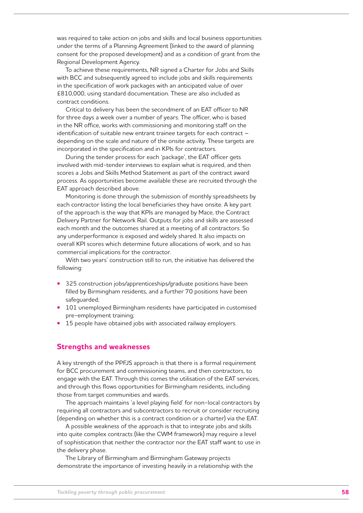was required to take action on jobs and skills and local business opportunities under the terms of a Planning Agreement (linked to the award of planning consent for the proposed development) and as a condition of grant from the Regional Development Agency.

To achieve these requirements, NR signed a Charter for Jobs and Skills with BCC and subsequently agreed to include jobs and skills requirements in the specification of work packages with an anticipated value of over £810,000, using standard documentation. These are also included as contract conditions.

Critical to delivery has been the secondment of an EAT officer to NR for three days a week over a number of years. The officer, who is based in the NR office, works with commissioning and monitoring staff on the identification of suitable new entrant trainee targets for each contract – depending on the scale and nature of the onsite activity. These targets are incorporated in the specification and in KPIs for contractors.

During the tender process for each 'package', the EAT officer gets involved with mid-tender interviews to explain what is required, and then scores a Jobs and Skills Method Statement as part of the contract award process. As opportunities become available these are recruited through the EAT approach described above.

Monitoring is done through the submission of monthly spreadsheets by each contractor listing the local beneficiaries they have onsite. A key part of the approach is the way that KPIs are managed by Mace, the Contract Delivery Partner for Network Rail. Outputs for jobs and skills are assessed each month and the outcomes shared at a meeting of all contractors. So any underperformance is exposed and widely shared. It also impacts on overall KPI scores which determine future allocations of work, and so has commercial implications for the contractor.

With two years' construction still to run, the initiative has delivered the following:

- **•** 325 construction jobs/apprenticeships/graduate positions have been filled by Birmingham residents, and a further 70 positions have been safeguarded;
- 101 unemployed Birmingham residents have participated in customised pre-employment training;
- 15 people have obtained jobs with associated railway employers.

### **Strengths and weaknesses**

A key strength of the PPFJS approach is that there is a formal requirement for BCC procurement and commissioning teams, and then contractors, to engage with the EAT. Through this comes the utilisation of the EAT services, and through this flows opportunities for Birmingham residents, including those from target communities and wards.

The approach maintains 'a level playing field' for non-local contractors by requiring all contractors and subcontractors to recruit or consider recruiting (depending on whether this is a contract condition or a charter) via the EAT.

A possible weakness of the approach is that to integrate jobs and skills into quite complex contracts (like the CWM framework) may require a level of sophistication that neither the contractor nor the EAT staff want to use in the delivery phase.

The Library of Birmingham and Birmingham Gateway projects demonstrate the importance of investing heavily in a relationship with the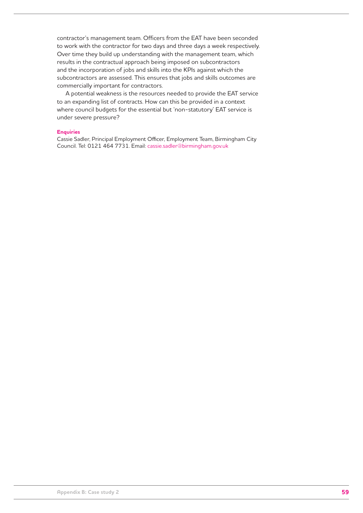contractor's management team. Officers from the EAT have been seconded to work with the contractor for two days and three days a week respectively. Over time they build up understanding with the management team, which results in the contractual approach being imposed on subcontractors and the incorporation of jobs and skills into the KPIs against which the subcontractors are assessed. This ensures that jobs and skills outcomes are commercially important for contractors.

A potential weakness is the resources needed to provide the EAT service to an expanding list of contracts. How can this be provided in a context where council budgets for the essential but 'non-statutory' EAT service is under severe pressure?

#### **Enquiries**

Cassie Sadler, Principal Employment Officer, Employment Team, Birmingham City Council. Tel: 0121 464 7731. Email: cassie.sadler@birmingham.gov.uk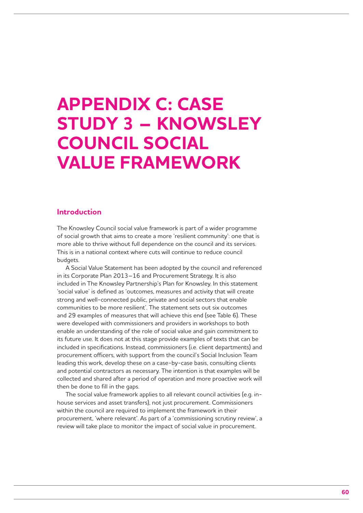# **Appendix C: Case study 3 – Knowsley Council social value framework**

## **Introduction**

The Knowsley Council social value framework is part of a wider programme of social growth that aims to create a more 'resilient community': one that is more able to thrive without full dependence on the council and its services. This is in a national context where cuts will continue to reduce council budgets.

A Social Value Statement has been adopted by the council and referenced in its Corporate Plan 2013–16 and Procurement Strategy. It is also included in The Knowsley Partnership's Plan for Knowsley. In this statement 'social value' is defined as 'outcomes, measures and activity that will create strong and well-connected public, private and social sectors that enable communities to be more resilient'. The statement sets out six outcomes and 29 examples of measures that will achieve this end (see Table 6). These were developed with commissioners and providers in workshops to both enable an understanding of the role of social value and gain commitment to its future use. It does not at this stage provide examples of texts that can be included in specifications. Instead, commissioners (i.e. client departments) and procurement officers, with support from the council's Social Inclusion Team leading this work, develop these on a case-by-case basis, consulting clients and potential contractors as necessary. The intention is that examples will be collected and shared after a period of operation and more proactive work will then be done to fill in the gaps.

The social value framework applies to all relevant council activities (e.g. inhouse services and asset transfers), not just procurement. Commissioners within the council are required to implement the framework in their procurement, 'where relevant'. As part of a 'commissioning scrutiny review', a review will take place to monitor the impact of social value in procurement.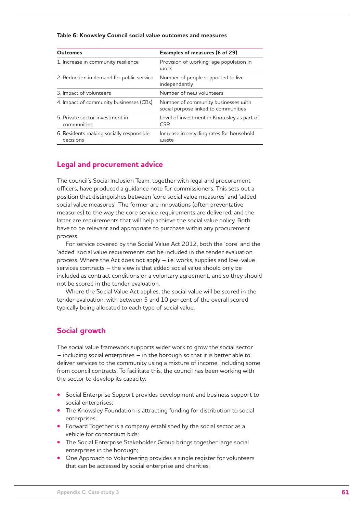#### **Table 6: Knowsley Council social value outcomes and measures**

| <b>Outcomes</b>                                       | Examples of measures (6 of 29)                                              |
|-------------------------------------------------------|-----------------------------------------------------------------------------|
| 1. Increase in community resilience                   | Provision of working-age population in<br>work                              |
| 2. Reduction in demand for public service             | Number of people supported to live<br>independently                         |
| 3. Impact of volunteers                               | Number of new volunteers                                                    |
| 4. Impact of community businesses (CBs)               | Number of community businesses with<br>social purpose linked to communities |
| 5. Private sector investment in<br>communities        | Level of investment in Knowsley as part of<br><b>CSR</b>                    |
| 6. Residents making socially responsible<br>decisions | Increase in recycling rates for household<br>waste                          |

## **Legal and procurement advice**

The council's Social Inclusion Team, together with legal and procurement officers, have produced a guidance note for commissioners. This sets out a position that distinguishes between 'core social value measures' and 'added social value measures'. The former are innovations (often preventative measures) to the way the core service requirements are delivered, and the latter are requirements that will help achieve the social value policy. Both have to be relevant and appropriate to purchase within any procurement process.

For service covered by the Social Value Act 2012, both the 'core' and the 'added' social value requirements can be included in the tender evaluation process. Where the Act does not apply – i.e. works, supplies and low-value services contracts – the view is that added social value should only be included as contract conditions or a voluntary agreement, and so they should not be scored in the tender evaluation.

Where the Social Value Act applies, the social value will be scored in the tender evaluation, with between 5 and 10 per cent of the overall scored typically being allocated to each type of social value.

## **Social growth**

The social value framework supports wider work to grow the social sector – including social enterprises – in the borough so that it is better able to deliver services to the community using a mixture of income, including some from council contracts. To facilitate this, the council has been working with the sector to develop its capacity:

- Social Enterprise Support provides development and business support to social enterprises;
- The Knowsley Foundation is attracting funding for distribution to social enterprises;
- **•** Forward Together is a company established by the social sector as a vehicle for consortium bids;
- **•** The Social Enterprise Stakeholder Group brings together large social enterprises in the borough;
- One Approach to Volunteering provides a single register for volunteers that can be accessed by social enterprise and charities;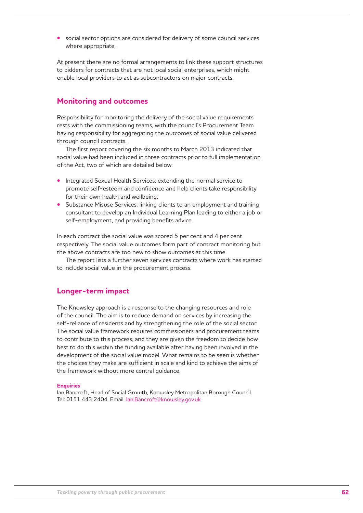**•** social sector options are considered for delivery of some council services where appropriate.

At present there are no formal arrangements to link these support structures to bidders for contracts that are not local social enterprises, which might enable local providers to act as subcontractors on major contracts.

# **Monitoring and outcomes**

Responsibility for monitoring the delivery of the social value requirements rests with the commissioning teams, with the council's Procurement Team having responsibility for aggregating the outcomes of social value delivered through council contracts.

The first report covering the six months to March 2013 indicated that social value had been included in three contracts prior to full implementation of the Act, two of which are detailed below:

- **•** Integrated Sexual Health Services: extending the normal service to promote self-esteem and confidence and help clients take responsibility for their own health and wellbeing;
- **Substance Misuse Services: linking clients to an employment and training** consultant to develop an Individual Learning Plan leading to either a job or self-employment, and providing benefits advice.

In each contract the social value was scored 5 per cent and 4 per cent respectively. The social value outcomes form part of contract monitoring but the above contracts are too new to show outcomes at this time.

The report lists a further seven services contracts where work has started to include social value in the procurement process.

## **Longer-term impact**

The Knowsley approach is a response to the changing resources and role of the council. The aim is to reduce demand on services by increasing the self-reliance of residents and by strengthening the role of the social sector. The social value framework requires commissioners and procurement teams to contribute to this process, and they are given the freedom to decide how best to do this within the funding available after having been involved in the development of the social value model. What remains to be seen is whether the choices they make are sufficient in scale and kind to achieve the aims of the framework without more central guidance.

### **Enquiries**

Ian Bancroft, Head of Social Growth, Knowsley Metropolitan Borough Council. Tel: 0151 443 2404. Email: Ian.Bancroft@knowsley.gov.uk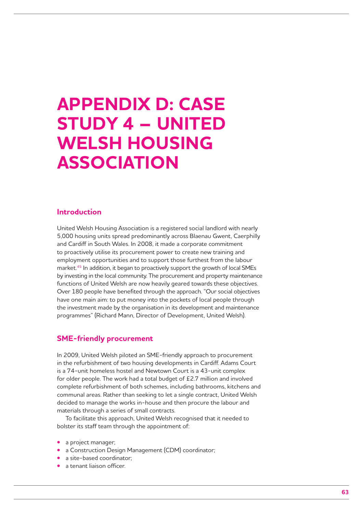# **Appendix D: Case study 4 – United Welsh Housing Association**

## **Introduction**

United Welsh Housing Association is a registered social landlord with nearly 5,000 housing units spread predominantly across Blaenau Gwent, Caerphilly and Cardiff in South Wales. In 2008, it made a corporate commitment to proactively utilise its procurement power to create new training and employment opportunities and to support those furthest from the labour market.45 In addition, it began to proactively support the growth of local SMEs by investing in the local community. The procurement and property maintenance functions of United Welsh are now heavily geared towards these objectives. Over 180 people have benefited through the approach. "Our social objectives have one main aim: to put money into the pockets of local people through the investment made by the organisation in its development and maintenance programmes" (Richard Mann, Director of Development, United Welsh).

### **SME-friendly procurement**

In 2009, United Welsh piloted an SME-friendly approach to procurement in the refurbishment of two housing developments in Cardiff. Adams Court is a 74-unit homeless hostel and Newtown Court is a 43-unit complex for older people. The work had a total budget of £2.7 million and involved complete refurbishment of both schemes, including bathrooms, kitchens and communal areas. Rather than seeking to let a single contract, United Welsh decided to manage the works in-house and then procure the labour and materials through a series of small contracts.

To facilitate this approach, United Welsh recognised that it needed to bolster its staff team through the appointment of:

- **•**  a project manager;
- **•**  a Construction Design Management (CDM) coordinator;
- a site-based coordinator:
- **•**  a tenant liaison officer.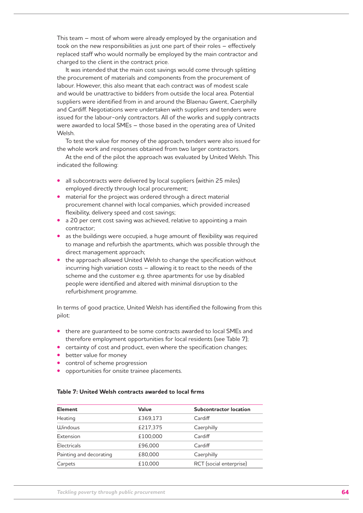This team – most of whom were already employed by the organisation and took on the new responsibilities as just one part of their roles – effectively replaced staff who would normally be employed by the main contractor and charged to the client in the contract price.

It was intended that the main cost savings would come through splitting the procurement of materials and components from the procurement of labour. However, this also meant that each contract was of modest scale and would be unattractive to bidders from outside the local area. Potential suppliers were identified from in and around the Blaenau Gwent, Caerphilly and Cardiff. Negotiations were undertaken with suppliers and tenders were issued for the labour-only contractors. All of the works and supply contracts were awarded to local SMEs – those based in the operating area of United Welsh.

To test the value for money of the approach, tenders were also issued for the whole work and responses obtained from two larger contractors.

At the end of the pilot the approach was evaluated by United Welsh. This indicated the following:

- all subcontracts were delivered by local suppliers (within 25 miles) employed directly through local procurement;
- material for the project was ordered through a direct material procurement channel with local companies, which provided increased flexibility, delivery speed and cost savings;
- a 20 per cent cost saving was achieved, relative to appointing a main contractor;
- **•** as the buildings were occupied, a huge amount of flexibility was required to manage and refurbish the apartments, which was possible through the direct management approach;
- the approach allowed United Welsh to change the specification without incurring high variation costs – allowing it to react to the needs of the scheme and the customer e.g. three apartments for use by disabled people were identified and altered with minimal disruption to the refurbishment programme.

In terms of good practice, United Welsh has identified the following from this pilot:

- there are quaranteed to be some contracts awarded to local SMEs and therefore employment opportunities for local residents (see Table 7);
- **•** certainty of cost and product, even where the specification changes;
- **•** better value for money
- **•** control of scheme progression
- **•** opportunities for onsite trainee placements.

### **Table 7: United Welsh contracts awarded to local firms**

| <b>Element</b>          | Value    | Subcontractor location  |
|-------------------------|----------|-------------------------|
| Heating                 | £369,173 | Cardiff                 |
| <b>Windows</b>          | £217,375 | Caerphilly              |
| Extension               | £100,000 | Cardiff                 |
| Electricals             | £96,000  | Cardiff                 |
| Painting and decorating | £80,000  | Caerphilly              |
| Carpets                 | £10,000  | RCT (social enterprise) |
|                         |          |                         |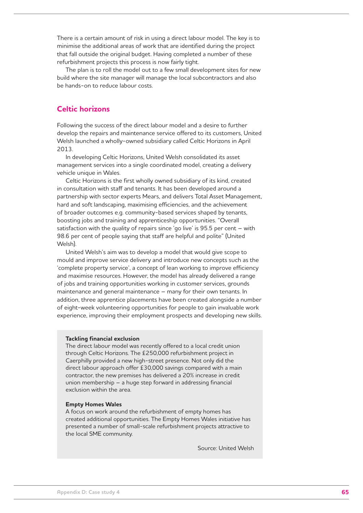There is a certain amount of risk in using a direct labour model. The key is to minimise the additional areas of work that are identified during the project that fall outside the original budget. Having completed a number of these refurbishment projects this process is now fairly tight.

The plan is to roll the model out to a few small development sites for new build where the site manager will manage the local subcontractors and also be hands-on to reduce labour costs.

# **Celtic horizons**

Following the success of the direct labour model and a desire to further develop the repairs and maintenance service offered to its customers, United Welsh launched a wholly-owned subsidiary called Celtic Horizons in April 2013.

In developing Celtic Horizons, United Welsh consolidated its asset management services into a single coordinated model, creating a delivery vehicle unique in Wales.

Celtic Horizons is the first wholly owned subsidiary of its kind, created in consultation with staff and tenants. It has been developed around a partnership with sector experts Mears, and delivers Total Asset Management, hard and soft landscaping, maximising efficiencies, and the achievement of broader outcomes e.g. community-based services shaped by tenants, boosting jobs and training and apprenticeship opportunities. "Overall satisfaction with the quality of repairs since 'go live' is 95.5 per cent – with 98.6 per cent of people saying that staff are helpful and polite" (United Welsh).

United Welsh's aim was to develop a model that would give scope to mould and improve service delivery and introduce new concepts such as the 'complete property service', a concept of lean working to improve efficiency and maximise resources. However, the model has already delivered a range of jobs and training opportunities working in customer services, grounds maintenance and general maintenance – many for their own tenants. In addition, three apprentice placements have been created alongside a number of eight-week volunteering opportunities for people to gain invaluable work experience, improving their employment prospects and developing new skills.

#### **Tackling financial exclusion**

The direct labour model was recently offered to a local credit union through Celtic Horizons. The £250,000 refurbishment project in Caerphilly provided a new high-street presence. Not only did the direct labour approach offer £30,000 savings compared with a main contractor, the new premises has delivered a 20% increase in credit union membership – a huge step forward in addressing financial exclusion within the area.

#### **Empty Homes Wales**

A focus on work around the refurbishment of empty homes has created additional opportunities. The Empty Homes Wales initiative has presented a number of small-scale refurbishment projects attractive to the local SME community.

Source: United Welsh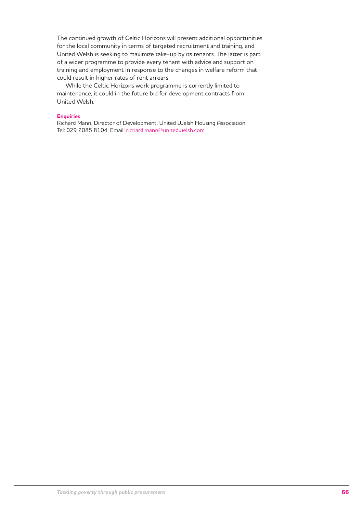The continued growth of Celtic Horizons will present additional opportunities for the local community in terms of targeted recruitment and training, and United Welsh is seeking to maximize take-up by its tenants. The latter is part of a wider programme to provide every tenant with advice and support on training and employment in response to the changes in welfare reform that could result in higher rates of rent arrears.

While the Celtic Horizons work programme is currently limited to maintenance, it could in the future bid for development contracts from United Welsh.

### **Enquiries**

Richard Mann, Director of Development, United Welsh Housing Association. Tel: 029 2085 8104. Email: richard.mann@unitedwelsh.com.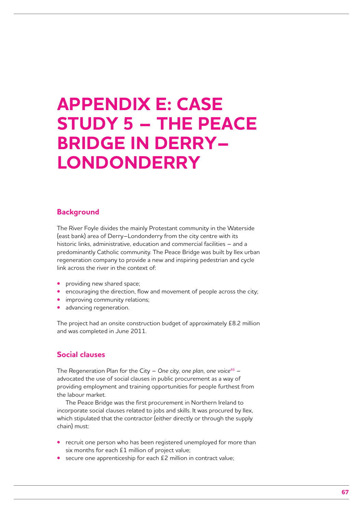# **Appendix E: Case study 5 – The Peace Bridge in Derry– Londonderry**

## **Background**

The River Foyle divides the mainly Protestant community in the Waterside (east bank) area of Derry–Londonderry from the city centre with its historic links, administrative, education and commercial facilities – and a predominantly Catholic community. The Peace Bridge was built by Ilex urban regeneration company to provide a new and inspiring pedestrian and cycle link across the river in the context of:

- **•** providing new shared space;
- **•** encouraging the direction, flow and movement of people across the city;
- **•** improving community relations;
- **•**  advancing regeneration.

The project had an onsite construction budget of approximately £8.2 million and was completed in June 2011.

## **Social clauses**

The Regeneration Plan for the City – *One city, one plan, one voice*<sup>46</sup> – advocated the use of social clauses in public procurement as a way of providing employment and training opportunities for people furthest from the labour market.

The Peace Bridge was the first procurement in Northern Ireland to incorporate social clauses related to jobs and skills. It was procured by Ilex, which stipulated that the contractor (either directly or through the supply chain) must:

- **•** recruit one person who has been registered unemployed for more than six months for each £1 million of project value;
- secure one apprenticeship for each £2 million in contract value;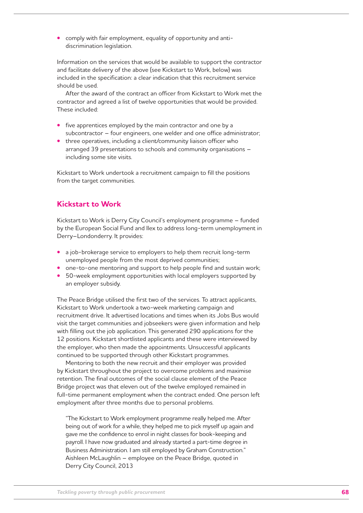**•**  comply with fair employment, equality of opportunity and antidiscrimination legislation.

Information on the services that would be available to support the contractor and facilitate delivery of the above (see Kickstart to Work, below) was included in the specification: a clear indication that this recruitment service should be used.

After the award of the contract an officer from Kickstart to Work met the contractor and agreed a list of twelve opportunities that would be provided. These included:

- five apprentices employed by the main contractor and one by a subcontractor – four engineers, one welder and one office administrator;
- **•** three operatives, including a client/community liaison officer who arranged 39 presentations to schools and community organisations – including some site visits.

Kickstart to Work undertook a recruitment campaign to fill the positions from the target communities.

# **Kickstart to Work**

Kickstart to Work is Derry City Council's employment programme – funded by the European Social Fund and Ilex to address long-term unemployment in Derry–Londonderry. It provides:

- a job-brokerage service to employers to help them recruit long-term unemployed people from the most deprived communities;
- one-to-one mentoring and support to help people find and sustain work;
- 50-week employment opportunities with local employers supported by an employer subsidy.

The Peace Bridge utilised the first two of the services. To attract applicants, Kickstart to Work undertook a two-week marketing campaign and recruitment drive. It advertised locations and times when its Jobs Bus would visit the target communities and jobseekers were given information and help with filling out the job application. This generated 290 applications for the 12 positions. Kickstart shortlisted applicants and these were interviewed by the employer, who then made the appointments. Unsuccessful applicants continued to be supported through other Kickstart programmes.

Mentoring to both the new recruit and their employer was provided by Kickstart throughout the project to overcome problems and maximise retention. The final outcomes of the social clause element of the Peace Bridge project was that eleven out of the twelve employed remained in full-time permanent employment when the contract ended. One person left employment after three months due to personal problems.

"The Kickstart to Work employment programme really helped me. After being out of work for a while, they helped me to pick myself up again and gave me the confidence to enrol in night classes for book-keeping and payroll. I have now graduated and already started a part-time degree in Business Administration. I am still employed by Graham Construction." Aishleen McLaughlin – employee on the Peace Bridge, quoted in Derry City Council, 2013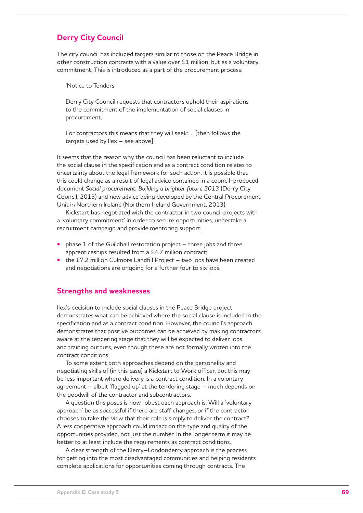# **Derry City Council**

The city council has included targets similar to those on the Peace Bridge in other construction contracts with a value over £1 million, but as a voluntary commitment. This is introduced as a part of the procurement process:

'Notice to Tenders

Derry City Council requests that contractors uphold their aspirations to the commitment of the implementation of social clauses in procurement.

For contractors this means that they will seek: … [then follows the targets used by Ilex – see above].'

It seems that the reason why the council has been reluctant to include the social clause in the specification and as a contract condition relates to uncertainty about the legal framework for such action. It is possible that this could change as a result of legal advice contained in a council-produced document *Social procurement: Building a brighter future 2013* (Derry City Council, 2013) and new advice being developed by the Central Procurement Unit in Northern Ireland (Northern Ireland Government, 2013).

Kickstart has negotiated with the contractor in two council projects with a 'voluntary commitment' in order to secure opportunities, undertake a recruitment campaign and provide mentoring support:

- **phase 1 of the Guildhall restoration project three jobs and three** apprenticeships resulted from a £4.7 million contract;
- the £7.2 million Culmore Landfill Project two jobs have been created and negotiations are ongoing for a further four to six jobs.

### **Strengths and weaknesses**

Ilex's decision to include social clauses in the Peace Bridge project demonstrates what can be achieved where the social clause is included in the specification and as a contract condition. However, the council's approach demonstrates that positive outcomes can be achieved by making contractors aware at the tendering stage that they will be expected to deliver jobs and training outputs, even though these are not formally written into the contract conditions.

To some extent both approaches depend on the personality and negotiating skills of (in this case) a Kickstart to Work officer, but this may be less important where delivery is a contract condition. In a voluntary agreement – albeit 'flagged up' at the tendering stage – much depends on the goodwill of the contractor and subcontractors.

A question this poses is how robust each approach is. Will a 'voluntary approach' be as successful if there are staff changes, or if the contractor chooses to take the view that their role is simply to deliver the contract? A less cooperative approach could impact on the type and quality of the opportunities provided, not just the number. In the longer term it may be better to at least include the requirements as contract conditions.

A clear strength of the Derry–Londonderry approach is the process for getting into the most disadvantaged communities and helping residents complete applications for opportunities coming through contracts. The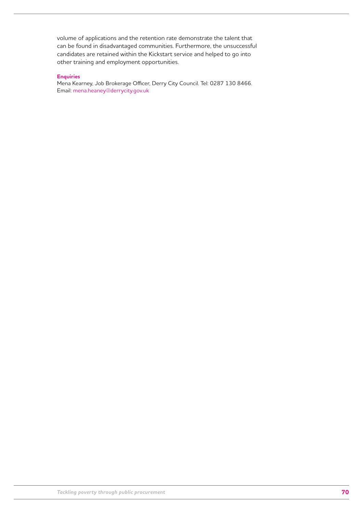volume of applications and the retention rate demonstrate the talent that can be found in disadvantaged communities. Furthermore, the unsuccessful candidates are retained within the Kickstart service and helped to go into other training and employment opportunities.

### **Enquiries**

Mena Kearney, Job Brokerage Officer, Derry City Council. Tel: 0287 130 8466. Email: mena.heaney@derrycity.gov.uk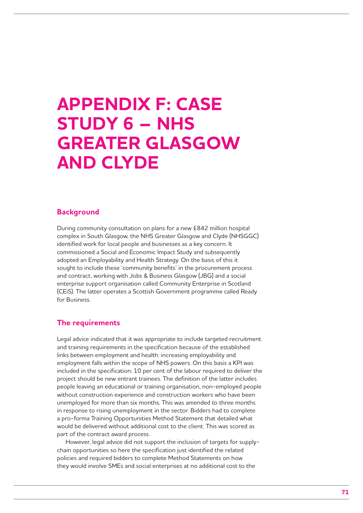# **Appendix F: Case study 6 – NHS Greater Glasgow and Clyde**

## **Background**

During community consultation on plans for a new £842 million hospital complex in South Glasgow, the NHS Greater Glasgow and Clyde (NHSGGC) identified work for local people and businesses as a key concern. It commissioned a Social and Economic Impact Study and subsequently adopted an Employability and Health Strategy. On the basis of this it sought to include these 'community benefits' in the procurement process and contract, working with Jobs & Business Glasgow (JBG) and a social enterprise support organisation called Community Enterprise in Scotland (CEiS). The latter operates a Scottish Government programme called Ready for Business.

### **The requirements**

Legal advice indicated that it was appropriate to include targeted recruitment and training requirements in the specification because of the established links between employment and health: increasing employability and employment falls within the scope of NHS powers. On this basis a KPI was included in the specification: 10 per cent of the labour required to deliver the project should be new entrant trainees. The definition of the latter includes people leaving an educational or training organisation, non-employed people without construction experience and construction workers who have been unemployed for more than six months. This was amended to three months in response to rising unemployment in the sector. Bidders had to complete a pro-forma Training Opportunities Method Statement that detailed what would be delivered without additional cost to the client. This was scored as part of the contract award process.

However, legal advice did not support the inclusion of targets for supplychain opportunities so here the specification just identified the related policies and required bidders to complete Method Statements on how they would involve SMEs and social enterprises at no additional cost to the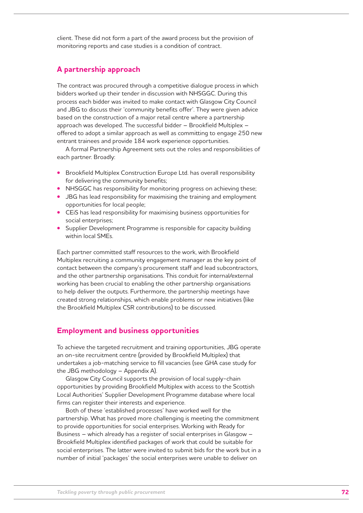client. These did not form a part of the award process but the provision of monitoring reports and case studies is a condition of contract.

# **A partnership approach**

The contract was procured through a competitive dialogue process in which bidders worked up their tender in discussion with NHSGGC. During this process each bidder was invited to make contact with Glasgow City Council and JBG to discuss their 'community benefits offer'. They were given advice based on the construction of a major retail centre where a partnership approach was developed. The successful bidder – Brookfield Multiplex – offered to adopt a similar approach as well as committing to engage 250 new entrant trainees and provide 184 work experience opportunities.

A formal Partnership Agreement sets out the roles and responsibilities of each partner. Broadly:

- **•**  Brookfield Multiplex Construction Europe Ltd. has overall responsibility for delivering the community benefits;
- **•** NHSGGC has responsibility for monitoring progress on achieving these;
- **JBG** has lead responsibility for maximising the training and employment opportunities for local people;
- **•** CEIS has lead responsibility for maximising business opportunities for social enterprises;
- **•** Supplier Development Programme is responsible for capacity building within local SMEs.

Each partner committed staff resources to the work, with Brookfield Multiplex recruiting a community engagement manager as the key point of contact between the company's procurement staff and lead subcontractors, and the other partnership organisations. This conduit for internal/external working has been crucial to enabling the other partnership organisations to help deliver the outputs. Furthermore, the partnership meetings have created strong relationships, which enable problems or new initiatives (like the Brookfield Multiplex CSR contributions) to be discussed.

# **Employment and business opportunities**

To achieve the targeted recruitment and training opportunities, JBG operate an on-site recruitment centre (provided by Brookfield Multiplex) that undertakes a job-matching service to fill vacancies (see GHA case study for the JBG methodology – Appendix A).

Glasgow City Council supports the provision of local supply-chain opportunities by providing Brookfield Multiplex with access to the Scottish Local Authorities' Supplier Development Programme database where local firms can register their interests and experience.

Both of these 'established processes' have worked well for the partnership. What has proved more challenging is meeting the commitment to provide opportunities for social enterprises. Working with Ready for Business – which already has a register of social enterprises in Glasgow – Brookfield Multiplex identified packages of work that could be suitable for social enterprises. The latter were invited to submit bids for the work but in a number of initial 'packages' the social enterprises were unable to deliver on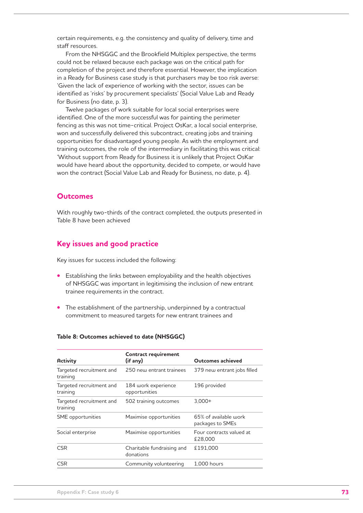certain requirements, e.g. the consistency and quality of delivery, time and staff resources.

From the NHSGGC and the Brookfield Multiplex perspective, the terms could not be relaxed because each package was on the critical path for completion of the project and therefore essential. However, the implication in a Ready for Business case study is that purchasers may be too risk averse: 'Given the lack of experience of working with the sector, issues can be identified as 'risks' by procurement specialists' (Social Value Lab and Ready for Business (no date, p. 3).

Twelve packages of work suitable for local social enterprises were identified. One of the more successful was for painting the perimeter fencing as this was not time-critical. Project OsKar, a local social enterprise, won and successfully delivered this subcontract, creating jobs and training opportunities for disadvantaged young people. As with the employment and training outcomes, the role of the intermediary in facilitating this was critical: 'Without support from Ready for Business it is unlikely that Project OsKar would have heard about the opportunity, decided to compete, or would have won the contract (Social Value Lab and Ready for Business, no date, p. 4).

#### **Outcomes**

With roughly two-thirds of the contract completed, the outputs presented in Table 8 have been achieved

#### **Key issues and good practice**

Key issues for success included the following:

- Establishing the links between employability and the health objectives of NHSGGC was important in legitimising the inclusion of new entrant trainee requirements in the contract.
- The establishment of the partnership, underpinned by a contractual commitment to measured targets for new entrant trainees and

|  | Table 8: Outcomes achieved to date (NHSGGC) |  |  |  |
|--|---------------------------------------------|--|--|--|
|--|---------------------------------------------|--|--|--|

| <b>Activity</b>                      | <b>Contract requirement</b><br>(if any) | Outcomes achieved                         |
|--------------------------------------|-----------------------------------------|-------------------------------------------|
| Targeted recruitment and<br>training | 250 new entrant trainees                | 379 new entrant jobs filled               |
| Targeted recruitment and<br>training | 184 work experience<br>opportunities    | 196 provided                              |
| Targeted recruitment and<br>training | 502 training outcomes                   | $3,000+$                                  |
| SME opportunities                    | Maximise opportunities                  | 65% of available work<br>packages to SMEs |
| Social enterprise                    | Maximise opportunities                  | Four contracts valued at<br>£28,000       |
| <b>CSR</b>                           | Charitable fundraising and<br>donations | £191.000                                  |
| <b>CSR</b>                           | Community volunteering                  | $1.000$ hours                             |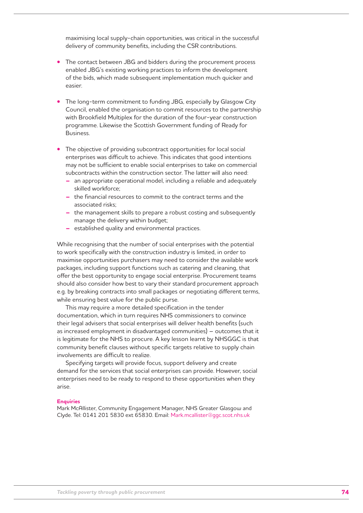maximising local supply-chain opportunities, was critical in the successful delivery of community benefits, including the CSR contributions.

- The contact between JBG and bidders during the procurement process enabled JBG's existing working practices to inform the development of the bids, which made subsequent implementation much quicker and easier.
- The long-term commitment to funding JBG, especially by Glasgow City Council, enabled the organisation to commit resources to the partnership with Brookfield Multiplex for the duration of the four-year construction programme. Likewise the Scottish Government funding of Ready for Business.
- The objective of providing subcontract opportunities for local social enterprises was difficult to achieve. This indicates that good intentions may not be sufficient to enable social enterprises to take on commercial subcontracts within the construction sector. The latter will also need:
	- **–** an appropriate operational model, including a reliable and adequately skilled workforce;
	- **–** the financial resources to commit to the contract terms and the associated risks;
	- **–** the management skills to prepare a robust costing and subsequently manage the delivery within budget;
	- **–** established quality and environmental practices.

While recognising that the number of social enterprises with the potential to work specifically with the construction industry is limited, in order to maximise opportunities purchasers may need to consider the available work packages, including support functions such as catering and cleaning, that offer the best opportunity to engage social enterprise. Procurement teams should also consider how best to vary their standard procurement approach e.g. by breaking contracts into small packages or negotiating different terms, while ensuring best value for the public purse.

This may require a more detailed specification in the tender documentation, which in turn requires NHS commissioners to convince their legal advisers that social enterprises will deliver health benefits (such as increased employment in disadvantaged communities) – outcomes that it is legitimate for the NHS to procure. A key lesson learnt by NHSGGC is that community benefit clauses without specific targets relative to supply chain involvements are difficult to realize.

Specifying targets will provide focus, support delivery and create demand for the services that social enterprises can provide. However, social enterprises need to be ready to respond to these opportunities when they arise.

#### **Enquiries**

Mark McAllister, Community Engagement Manager, NHS Greater Glasgow and Clyde. Tel: 0141 201 5830 ext 65830. Email: Mark.mcallister@ggc.scot.nhs.uk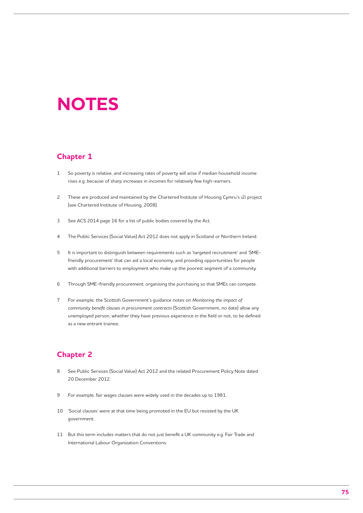# **Notes**

#### **Chapter 1**

- 1 So poverty is relative, and increasing rates of poverty will arise if median household income rises e.g. because of sharp increases in incomes for relatively few high-earners.
- 2 These are produced and maintained by the Chartered Institute of Housing Cymru's i2i project (see Chartered Institute of Housing, 2008).
- 3 See ACS 2014 page 16 for a list of public bodies covered by the Act.
- 4 The Public Services (Social Value) Act 2012 does not apply in Scotland or Northern Ireland.
- 5 It is important to distinguish between requirements such as 'targeted recruitment' and 'SMEfriendly procurement' that can aid a local economy, and providing opportunities for people with additional barriers to employment who make up the poorest segment of a community.
- 6 Through SME-friendly procurement: organising the purchasing so that SMEs can compete.
- 7 For example, the Scottish Government's guidance notes on *Monitoring the impact of community benefit clauses in procurement contracts* (Scottish Government, no date) allow any unemployed person, whether they have previous experience in the field or not, to be defined as a new entrant trainee.

#### **Chapter 2**

- 8 See Public Services (Social Value) Act 2012 and the related Procurement Policy Note dated 20 December 2012.
- 9 For example, fair wages clauses were widely used in the decades up to 1981.
- 10 'Social clauses' were at that time being promoted in the EU but resisted by the UK government.
- 11 But this term includes matters that do not just benefit a UK community e.g. Fair Trade and International Labour Organization Conventions.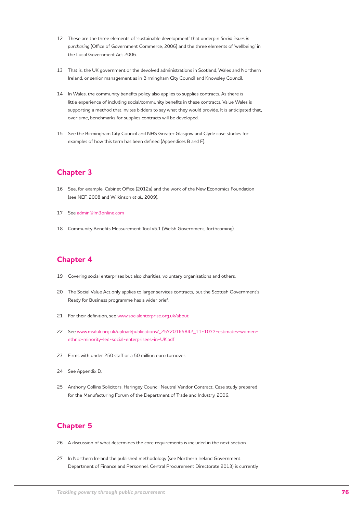- 12 These are the three elements of 'sustainable development' that underpin *Social issues in purchasing* (Office of Government Commerce, 2006) and the three elements of 'wellbeing' in the Local Government Act 2006.
- 13 That is, the UK government or the devolved administrations in Scotland, Wales and Northern Ireland, or senior management as in Birmingham City Council and Knowsley Council.
- 14 In Wales, the community benefits policy also applies to supplies contracts. As there is little experience of including social/community benefits in these contracts, Value Wales is supporting a method that invites bidders to say what they would provide. It is anticipated that, over time, benchmarks for supplies contracts will be developed.
- 15 See the Birmingham City Council and NHS Greater Glasgow and Clyde case studies for examples of how this term has been defined (Appendices B and F).

#### **Chapter 3**

- 16 See, for example, Cabinet Office (2012a) and the work of the New Economics Foundation (see NEF, 2008 and Wilkinson *et al.*, 2009).
- 17 See admin@lm3online.com
- 18 Community Benefits Measurement Tool v5.1 (Welsh Government, forthcoming).

#### **Chapter 4**

- 19 Covering social enterprises but also charities, voluntary organisations and others.
- 20 The Social Value Act only applies to larger services contracts, but the Scottish Government's Ready for Business programme has a wider brief.
- 21 For their definition, see www.socialenterprise.org.uk/about
- 22 See www.msduk.org.uk/upload/publications/ 25720165842 11-1077-estimates-womenethnic-minority-led-social-enterprisees-in-UK.pdf
- 23 Firms with under 250 staff or a 50 million euro turnover.
- 24 See Appendix D.
- 25 Anthony Collins Solicitors. Haringey Council Neutral Vendor Contract. Case study prepared for the Manufacturing Forum of the Department of Trade and Industry. 2006.

#### **Chapter 5**

- 26 A discussion of what determines the core requirements is included in the next section.
- 27 In Northern Ireland the published methodology (see Northern Ireland Government Department of Finance and Personnel, Central Procurement Directorate 2013) is currently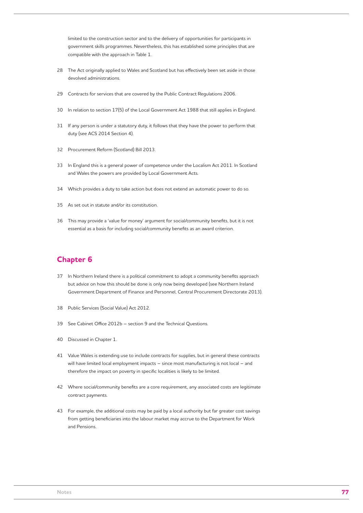limited to the construction sector and to the delivery of opportunities for participants in government skills programmes. Nevertheless, this has established some principles that are compatible with the approach in Table 1.

- 28 The Act originally applied to Wales and Scotland but has effectively been set aside in those devolved administrations.
- 29 Contracts for services that are covered by the Public Contract Regulations 2006.
- 30 In relation to section 17(5) of the Local Government Act 1988 that still applies in England.
- 31 If any person is under a statutory duty, it follows that they have the power to perform that duty (see ACS 2014 Section 4).
- 32 Procurement Reform (Scotland) Bill 2013.
- 33 In England this is a general power of competence under the Localism Act 2011. In Scotland and Wales the powers are provided by Local Government Acts.
- 34 Which provides a duty to take action but does not extend an automatic power to do so.
- 35 As set out in statute and/or its constitution.
- 36 This may provide a 'value for money' argument for social/community benefits, but it is not essential as a basis for including social/community benefits as an award criterion.

#### **Chapter 6**

- 37 In Northern Ireland there is a political commitment to adopt a community benefits approach but advice on how this should be done is only now being developed (see Northern Ireland Government Department of Finance and Personnel, Central Procurement Directorate 2013).
- 38 Public Services (Social Value) Act 2012.
- 39 See Cabinet Office 2012b section 9 and the Technical Questions.
- 40 Discussed in Chapter 1.
- 41 Value Wales is extending use to include contracts for supplies, but in general these contracts will have limited local employment impacts – since most manufacturing is not local – and therefore the impact on poverty in specific localities is likely to be limited.
- 42 Where social/community benefits are a core requirement, any associated costs are legitimate contract payments.
- 43 For example, the additional costs may be paid by a local authority but far greater cost savings from getting beneficiaries into the labour market may accrue to the Department for Work and Pensions.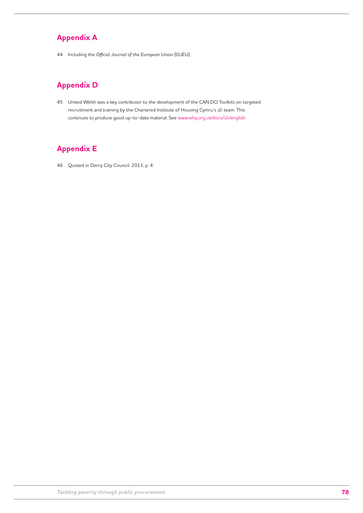### **Appendix A**

44 Including the *Official Journal of the European Union* (OJEU).

### **Appendix D**

45 United Welsh was a key contributor to the development of the CAN DO Toolkits on targeted recruitment and training by the Chartered Institute of Housing Cymru's i2i team. This continues to produce good up-to-date material. See www.whq.org.uk/docs/i2i/english

### **Appendix E**

46 Quoted in Derry City Council, 2013, p. 4.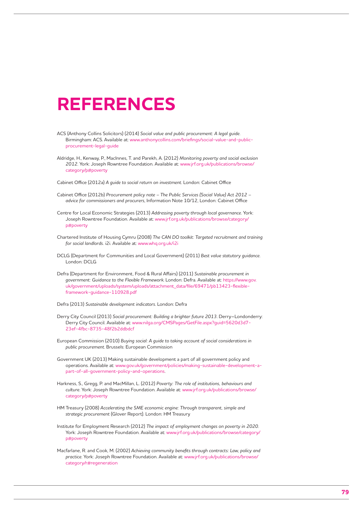## **References**

- ACS (Anthony Collins Solicitors) (2014) *Social value and public procurement: A legal guide*. Birmingham: ACS. Available at: www.anthonycollins.com/briefings/social-value-and-publicprocurement-legal-guide
- Aldridge, H., Kenway, P., MacInnes, T. and Parekh, A. (2012) *Monitoring poverty and social exclusion 2012*. York: Joseph Rowntree Foundation. Available at: www.jrf.org.uk/publications/browse/ category/p#poverty

Cabinet Office (2012a) *A guide to social return on investment*. London: Cabinet Office

- Cabinet Office (2012b) *Procurement policy note The Public Services (Social Value) Act 2012 advice for commissioners and procurers*, Information Note 10/12, London: Cabinet Office
- Centre for Local Economic Strategies (2013) *Addressing poverty through local governance*. York: Joseph Rowntree Foundation. Available at: www.jrf.org.uk/publications/browse/category/ p#poverty
- Chartered Institute of Housing Cymru (2008) *The CAN DO toolkit: Targeted recruitment and training for social landlords.* i2i. Available at: www.whq.org.uk/i2i
- DCLG (Department for Communities and Local Government) (2011) *Best value statutory guidance*. London: DCLG
- Defra (Department for Environment, Food & Rural Affairs) (2011) *Sustainable procurement in government: Guidance to the Flexible Framework*. London: Defra. Available at: https://www.gov. uk/government/uploads/system/uploads/attachment\_data/file/69471/pb13423-flexibleframework-guidance-110928.pdf
- Defra (2013) *Sustainable development indicators*. London: Defra
- Derry City Council (2013) *Social procurement: Building a brighter future 2013*. Derry–Londonderry: Derry City Council. Available at: www.nilga.org/CMSPages/GetFile.aspx?guid=5620d3d7- 23ef-4fbc-8735-48f2b2ddbdcf
- European Commission (2010) *Buying social: A guide to taking account of social considerations in public procurement*. Brussels: European Commission
- Government UK (2013) Making sustainable development a part of all government policy and operations. Available at: www.gov.uk/government/policies/making-sustainable-development-apart-of-all-government-policy-and-operations.
- Harkness, S., Gregg, P. and MacMillan, L. (2012) *Poverty: The role of institutions, behaviours and culture*. York: Joseph Rowntree Foundation. Available at: www.jrf.org.uk/publications/browse/ category/p#poverty
- HM Treasury (2008) *Accelerating the SME economic engine: Through transparent, simple and strategic procurement* (Glover Report). London: HM Treasury
- Institute for Employment Research (2012) *The impact of employment changes on poverty in 2020*. York: Joseph Rowntree Foundation. Available at: www.jrf.org.uk/publications/browse/category/ p#poverty
- Macfarlane, R. and Cook, M. (2002) *Achieving community benefits through contracts: Law, policy and practice*. York: Joseph Rowntree Foundation. Available at: www.jrf.org.uk/publications/browse/ category/r#regeneration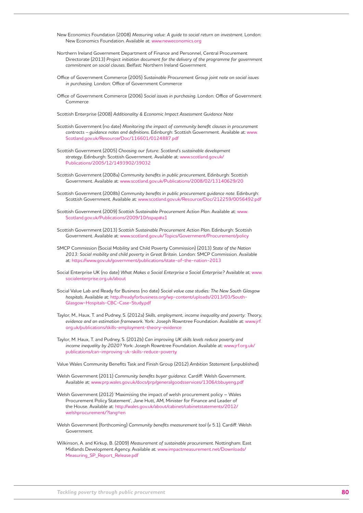- New Economics Foundation (2008) *Measuring value: A guide to social return on investment*. London: New Economics Foundation. Available at: www.neweconomics.org
- Northern Ireland Government Department of Finance and Personnel, Central Procurement Directorate (2013) *Project initiation document for the delivery of the programme for government commitment on social clauses*. Belfast: Northern Ireland Government
- Office of Government Commerce (2005) *Sustainable Procurement Group joint note on social issues in purchasing*. London: Office of Government Commerce
- Office of Government Commerce (2006) *Social issues in purchasing*. London: Office of Government Commerce
- Scottish Enterprise (2008) *Additionality & Economic Impact Assessment Guidance Note*
- Scottish Government (no date) *Monitoring the impact of community benefit clauses in procurement contracts – guidance notes and definitions*. Edinburgh: Scottish Government. Available at: www. Scotland.gov.uk/Resource/Doc/116601/0124887.pdf
- Scottish Government (2005) *Choosing our future: Scotland's sustainable development strategy*. Edinburgh: Scottish Government. Available at: www.scotland.gov.uk/ Publications/2005/12/1493902/39032
- Scottish Government (2008a) *Community benefits in public procurement*, Edinburgh: Scottish Government. Available at: www.scotland.gov.uk/Publications/2008/02/13140629/20
- Scottish Government (2008b) *Community benefits in public procurement guidance note*. Edinburgh: Scottish Government. Available at: www.scotland.gov.uk/Resource/Doc/212259/0056492.pdf
- Scottish Government (2009) *Scottish Sustainable Procurement Action Plan*. Available at: www. Scotland.gov.uk/Publications/2009/10/sspap#a1
- Scottish Government (2013) *Scottish Sustainable Procurement Action Plan*. Edinburgh: Scottish Government. Available at: www.scotland.gov.uk/Topics/Government/Procurement/policy
- SMCP Commission (Social Mobility and Child Poverty Commission) (2013) *State of the Nation 2013: Social mobility and child poverty in Great Britain.* London: SMCP Commission. Available at: https://www.gov.uk/government/publications/state-of-the-nation-2013
- Social Enterprise UK (no date) *What Makes a Social Enterprise a Social Enterprise?* Available at: www. socialenterprise.org.uk/about
- Social Value Lab and Ready for Business (no date) *Social value case studies: The New South Glasgow hospitals*. Available at: http://readyforbusiness.org/wp-content/uploads/2013/03/South-Glasgow-Hospitals-CBC-Case-Study.pdf
- Taylor, M., Haux, T. and Pudney, S. (2012a) *Skills, employment, income inequality and poverty: Theory, evidence and an estimation framework*. York: Joseph Rowntree Foundation. Available at: www.jrf. org.uk/publications/skills-employment-theory-evidence
- Taylor, M. Haux, T. and Pudney, S. (2012b) *Can improving UK skills levels reduce poverty and income inequality by 2020?* York: Joseph Rowntree Foundation. Available at: www.jrf.org.uk/ publications/can-improving-uk-skills-reduce-poverty

Value Wales Community Benefits Task and Finish Group (2012) *Ambition Statement* (unpublished)

- Welsh Government (2011) *Community benefits buyer guidance*. Cardiff: Welsh Government. Available at: www.prp.wales.gov.uk/docs/prp/generalgoodsservices/1306/cbbuyeng.pdf
- Welsh Government (2012) 'Maximising the impact of welsh procurement policy Wales Procurement Policy Statement', Jane Hutt, AM, Minister for Finance and Leader of the House. Available at: http://wales.gov.uk/about/cabinet/cabinetstatements/2012/ welshprocurement/?lang=en
- Welsh Government (forthcoming) *Community benefits measurement tool* (v 5.1). Cardiff: Welsh Government.
- Wilkinson, A. and Kirkup, B. (2009) *Measurement of sustainable procurement*. Nottingham: East Midlands Development Agency. Available at: www.impactmeasurement.net/Downloads/ Measuring\_SP\_Report\_Release.pdf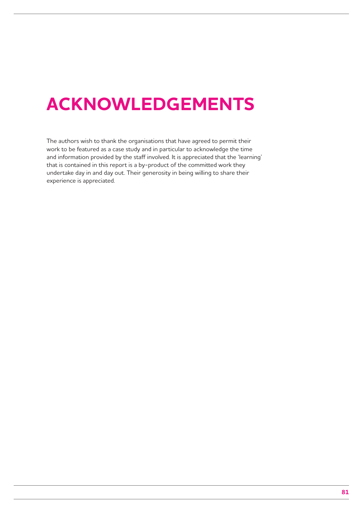# **Acknowledgements**

The authors wish to thank the organisations that have agreed to permit their work to be featured as a case study and in particular to acknowledge the time and information provided by the staff involved. It is appreciated that the 'learning' that is contained in this report is a by-product of the committed work they undertake day in and day out. Their generosity in being willing to share their experience is appreciated.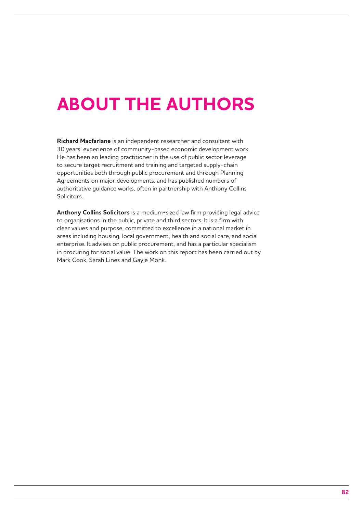# **About the authors**

**Richard Macfarlane** is an independent researcher and consultant with 30 years' experience of community-based economic development work. He has been an leading practitioner in the use of public sector leverage to secure target recruitment and training and targeted supply-chain opportunities both through public procurement and through Planning Agreements on major developments, and has published numbers of authoritative guidance works, often in partnership with Anthony Collins Solicitors.

**Anthony Collins Solicitors** is a medium-sized law firm providing legal advice to organisations in the public, private and third sectors. It is a firm with clear values and purpose, committed to excellence in a national market in areas including housing, local government, health and social care, and social enterprise. It advises on public procurement, and has a particular specialism in procuring for social value. The work on this report has been carried out by Mark Cook, Sarah Lines and Gayle Monk.